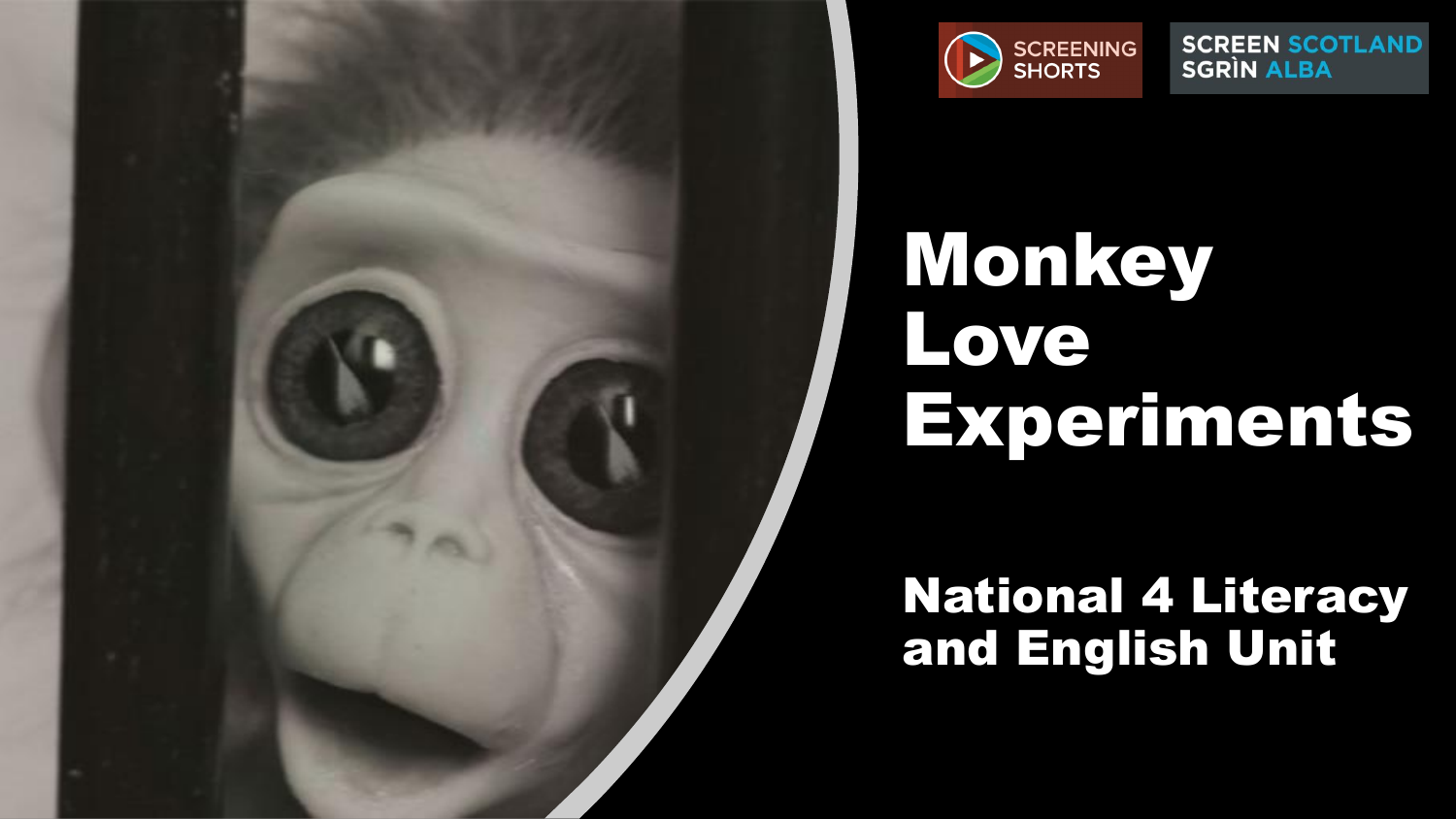

**SCREEN SCOTLAND SGRÌN ALBA** 

# **Monkey** Love Experiments

#### National 4 Literacy and English Unit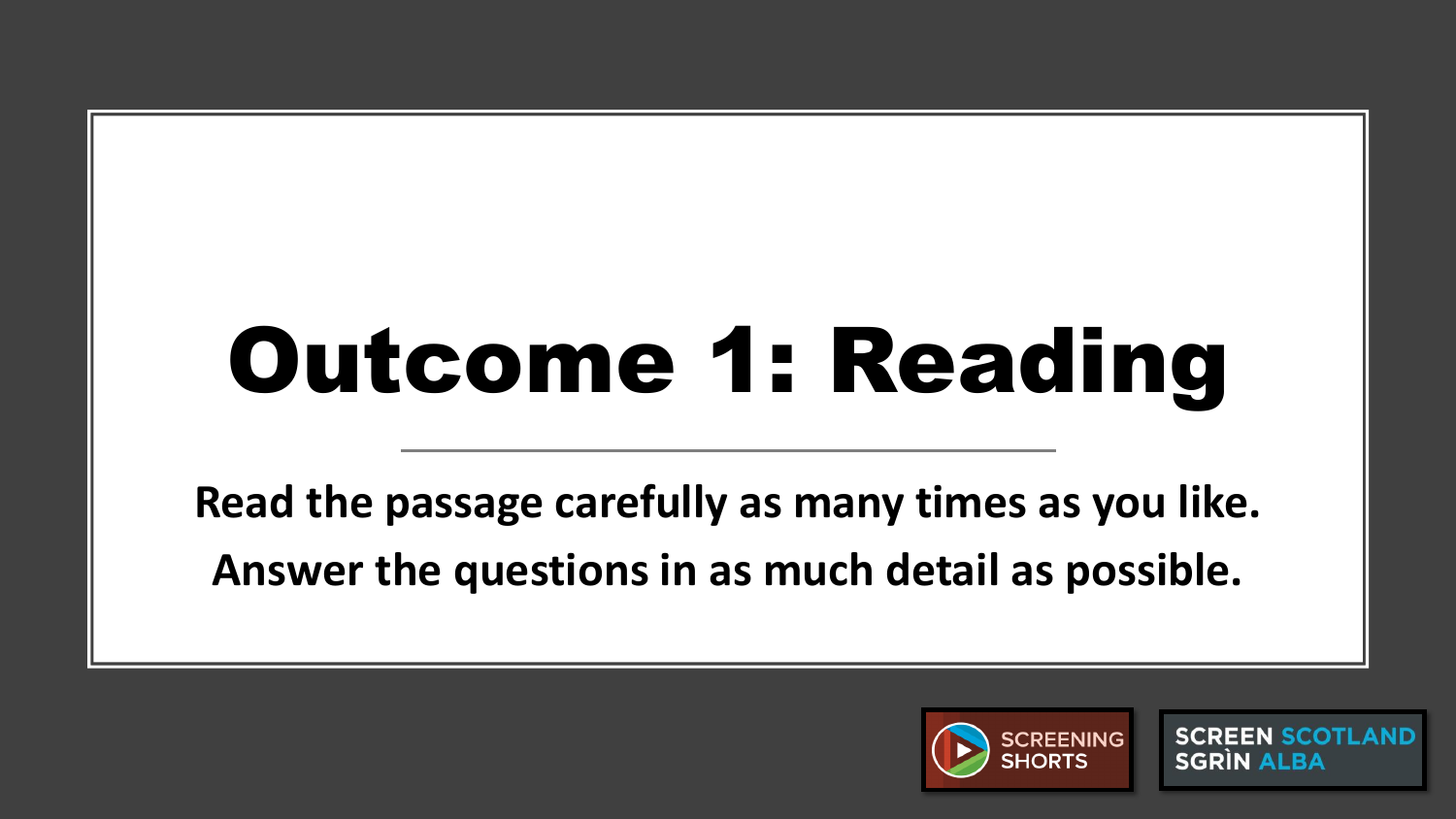# Outcome 1: Reading

**Read the passage carefully as many times as you like. Answer the questions in as much detail as possible.**



**SCREEN SCOTLAND SGRIN ALBA**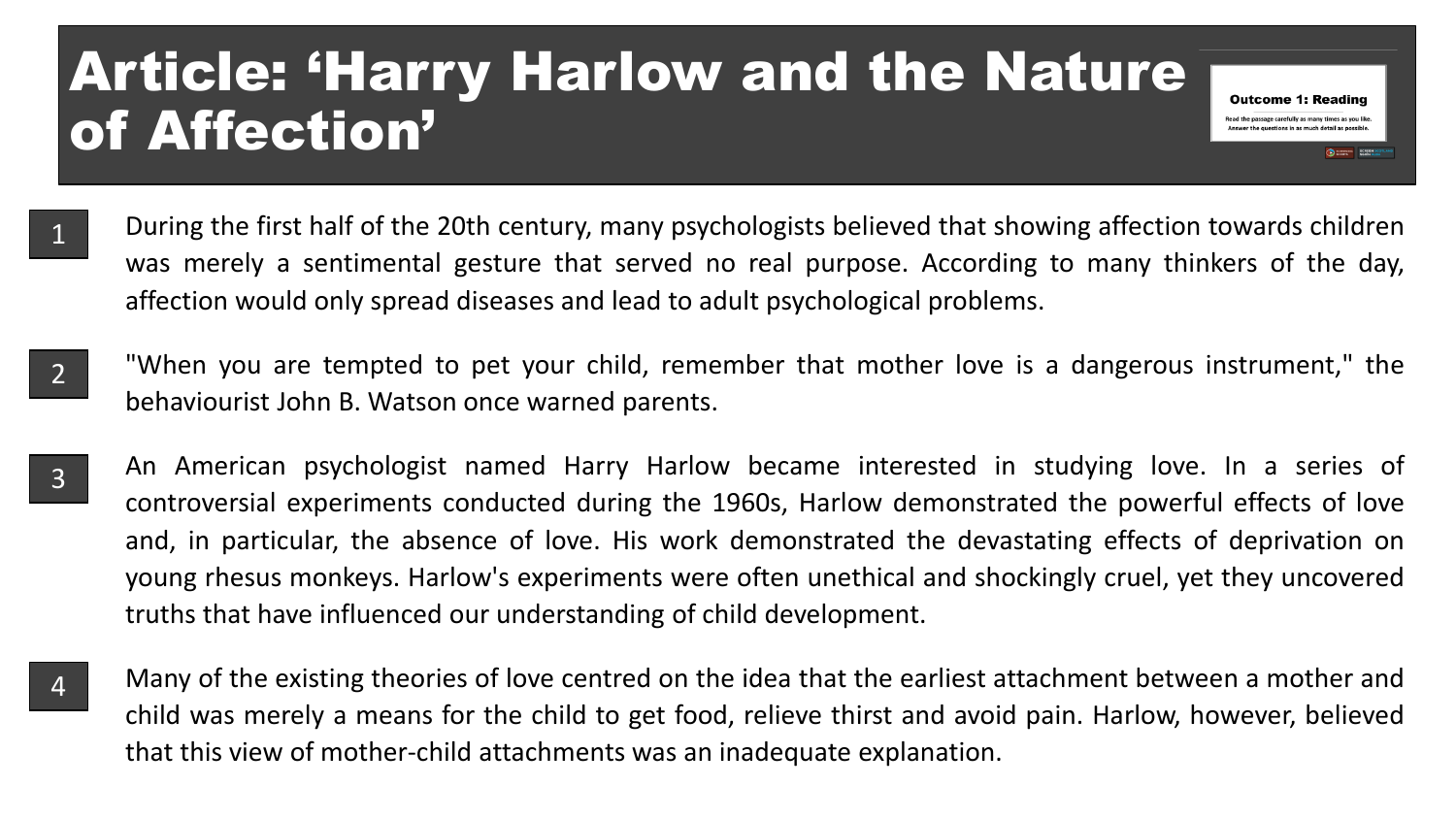### Article: 'Harry Harlow and the Nature of Affection'

During the first half of the 20th century, many psychologists believed that showing affection towards children was merely a sentimental gesture that served no real purpose. According to many thinkers of the day, affection would only spread diseases and lead to adult psychological problems.

**Outcome 1: Reading** Read the passage carefully as many times as you like

- "When you are tempted to pet your child, remember that mother love is a dangerous instrument," the behaviourist John B. Watson once warned parents. 2
- An American psychologist named Harry Harlow became interested in studying love. In a series of controversial experiments conducted during the 1960s, Harlow demonstrated the powerful effects of love and, in particular, the absence of love. His work demonstrated the devastating effects of deprivation on young rhesus monkeys. Harlow's experiments were often unethical and shockingly cruel, yet they uncovered truths that have influenced our understanding of child development. 3
- 4

1

Many of the existing theories of love centred on the idea that the earliest attachment between a mother and child was merely a means for the child to get food, relieve thirst and avoid pain. Harlow, however, believed that this view of mother-child attachments was an inadequate explanation.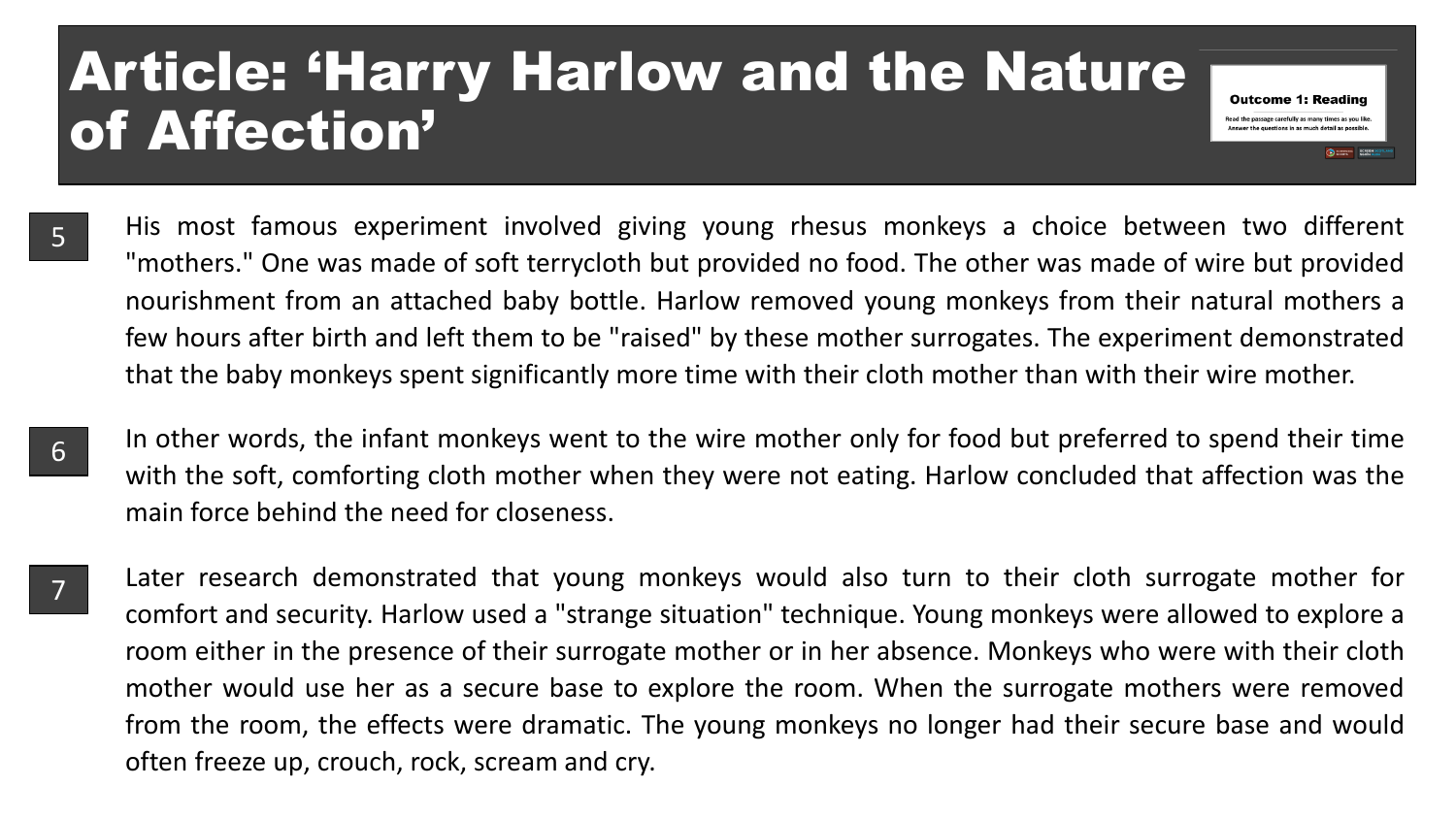### Article: 'Harry Harlow and the Nature of Affection'

5

6

7

His most famous experiment involved giving young rhesus monkeys a choice between two different "mothers." One was made of soft terrycloth but provided no food. The other was made of wire but provided nourishment from an attached baby bottle. Harlow removed young monkeys from their natural mothers a few hours after birth and left them to be "raised" by these mother surrogates. The experiment demonstrated that the baby monkeys spent significantly more time with their cloth mother than with their wire mother.

**Outcome 1: Reading** Read the passage carefully as many times as you like

- In other words, the infant monkeys went to the wire mother only for food but preferred to spend their time with the soft, comforting cloth mother when they were not eating. Harlow concluded that affection was the main force behind the need for closeness.
- Later research demonstrated that young monkeys would also turn to their cloth surrogate mother for comfort and security. Harlow used a "strange situation" technique. Young monkeys were allowed to explore a room either in the presence of their surrogate mother or in her absence. Monkeys who were with their cloth mother would use her as a secure base to explore the room. When the surrogate mothers were removed from the room, the effects were dramatic. The young monkeys no longer had their secure base and would often freeze up, crouch, rock, scream and cry.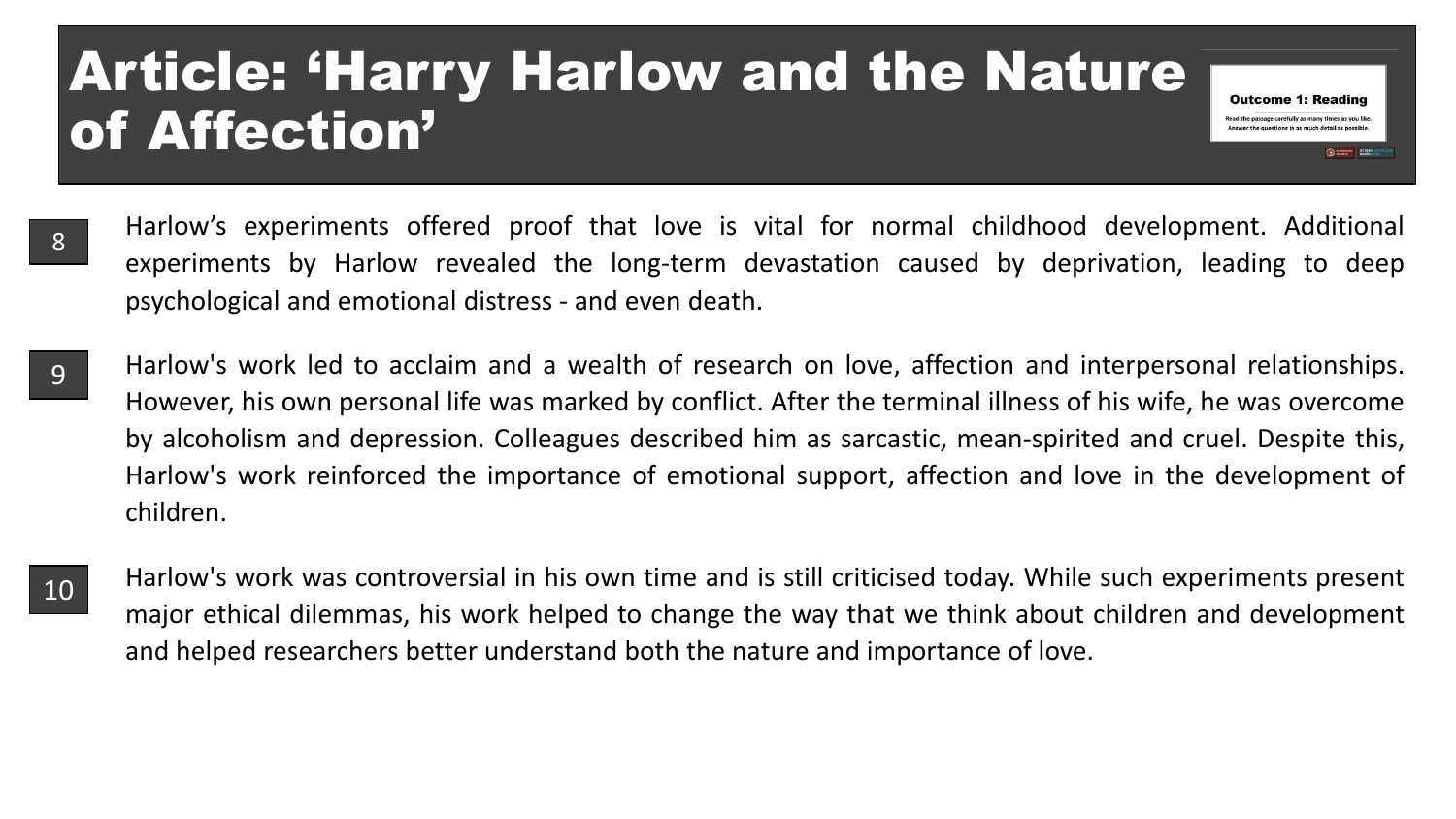### Article: 'Harry Harlow and the Nature of Affection'

Harlow's experiments offered proof that love is vital for normal childhood development. Additional experiments by Harlow revealed the long-term devastation caused by deprivation, leading to deep psychological and emotional distress - and even death. 8

**Outcome 1: Reading** Read the passage carefully as many times as you like

**CHECK SCREEN** 

- Harlow's work led to acclaim and a wealth of research on love, affection and interpersonal relationships. However, his own personal life was marked by conflict. After the terminal illness of his wife, he was overcome by alcoholism and depression. Colleagues described him as sarcastic, mean-spirited and cruel. Despite this, Harlow's work reinforced the importance of emotional support, affection and love in the development of children. 9
- 10

Harlow's work was controversial in his own time and is still criticised today. While such experiments present major ethical dilemmas, his work helped to change the way that we think about children and development and helped researchers better understand both the nature and importance of love.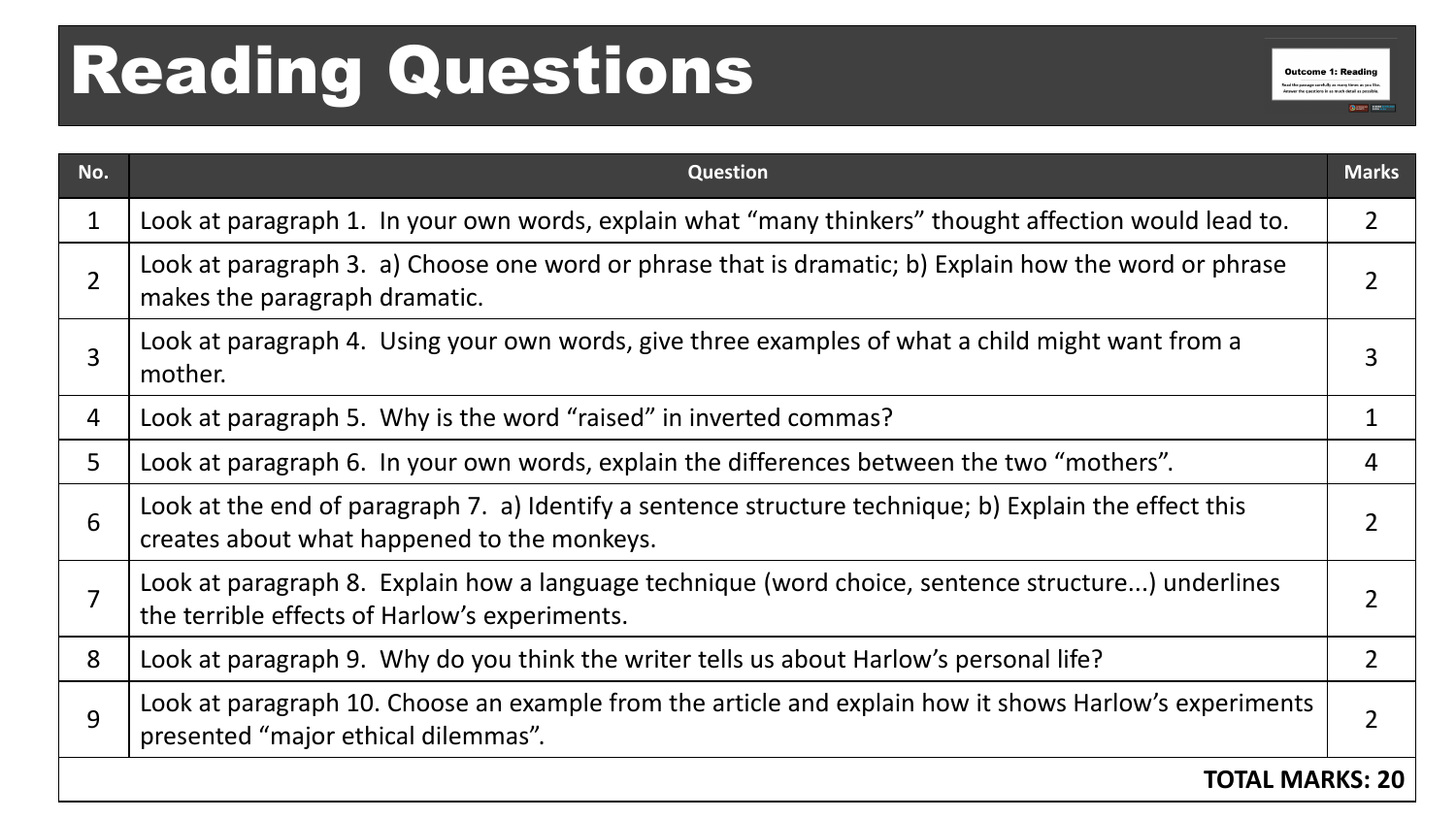## Reading Questions

| No.            | Question                                                                                                                                              | <b>Marks</b>   |
|----------------|-------------------------------------------------------------------------------------------------------------------------------------------------------|----------------|
| 1              | Look at paragraph 1. In your own words, explain what "many thinkers" thought affection would lead to.                                                 | $\overline{2}$ |
| $\overline{2}$ | Look at paragraph 3. a) Choose one word or phrase that is dramatic; b) Explain how the word or phrase<br>makes the paragraph dramatic.                |                |
| 3              | Look at paragraph 4. Using your own words, give three examples of what a child might want from a<br>mother.                                           | 3              |
| 4              | Look at paragraph 5. Why is the word "raised" in inverted commas?                                                                                     |                |
| 5              | Look at paragraph 6. In your own words, explain the differences between the two "mothers".                                                            | 4              |
| 6              | Look at the end of paragraph 7. a) Identify a sentence structure technique; b) Explain the effect this<br>creates about what happened to the monkeys. |                |
| 7              | Look at paragraph 8. Explain how a language technique (word choice, sentence structure) underlines<br>the terrible effects of Harlow's experiments.   |                |
| 8              | Look at paragraph 9. Why do you think the writer tells us about Harlow's personal life?                                                               | $\overline{2}$ |
| 9              | Look at paragraph 10. Choose an example from the article and explain how it shows Harlow's experiments<br>presented "major ethical dilemmas".         |                |
|                | TOTAL MARKS: 20                                                                                                                                       |                |

**Outcome 1: Reading** Read the passage carefully as many times as you like Answer the questions in as much detail as possible.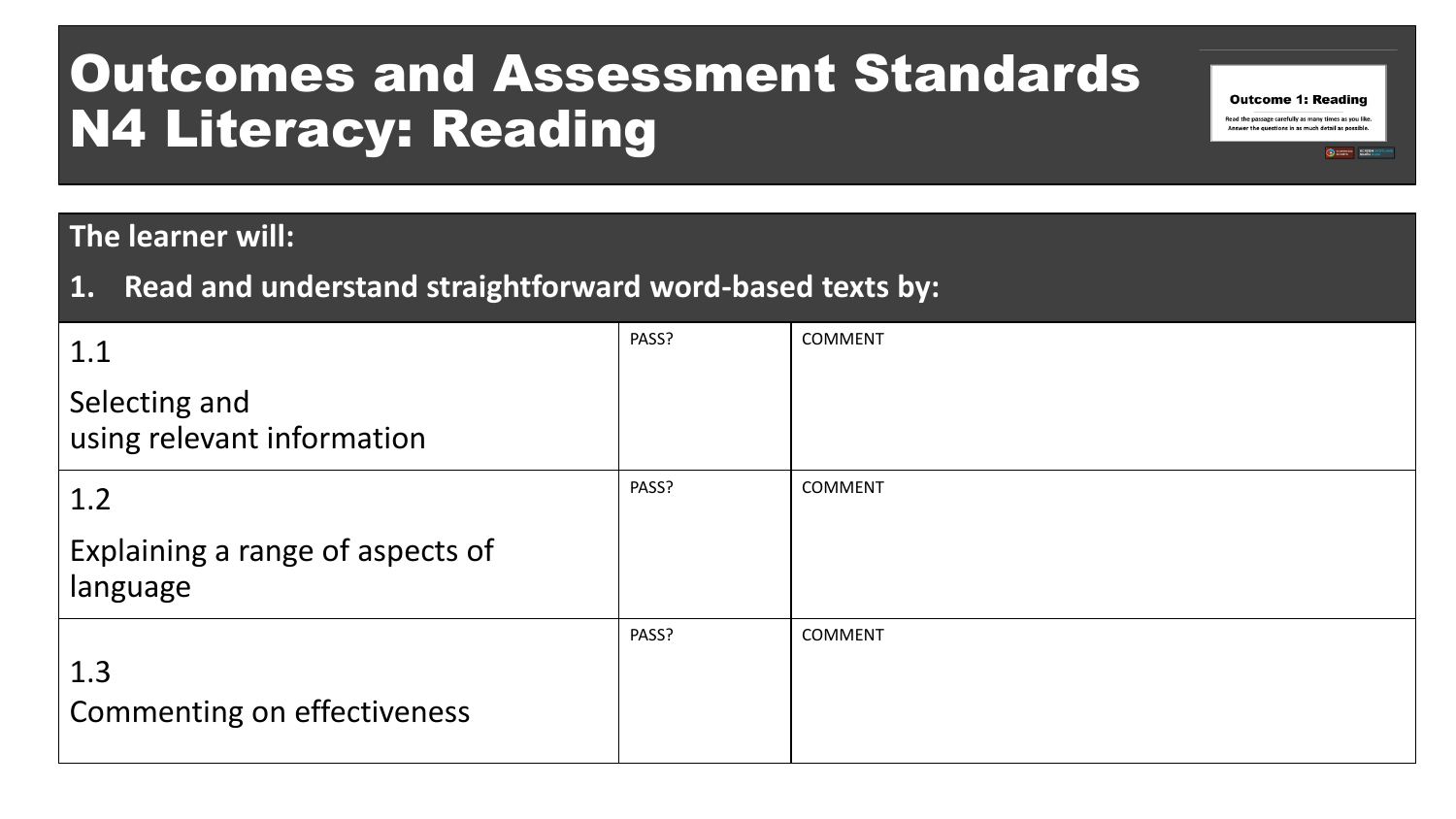### Outcomes and Assessment Standards N4 Literacy: Reading

#### **The learner will:**

**1. Read and understand straightforward word-based texts by:**

| 1.1                                          | PASS? | <b>COMMENT</b> |
|----------------------------------------------|-------|----------------|
| Selecting and<br>using relevant information  |       |                |
| 1.2                                          | PASS? | <b>COMMENT</b> |
| Explaining a range of aspects of<br>language |       |                |
| 1.3<br><b>Commenting on effectiveness</b>    | PASS? | <b>COMMENT</b> |

**Outcome 1: Reading** Read the passage carefully as many times as you like. Answer the questions in as much detail as possible.

SCREEN SORIN ALEX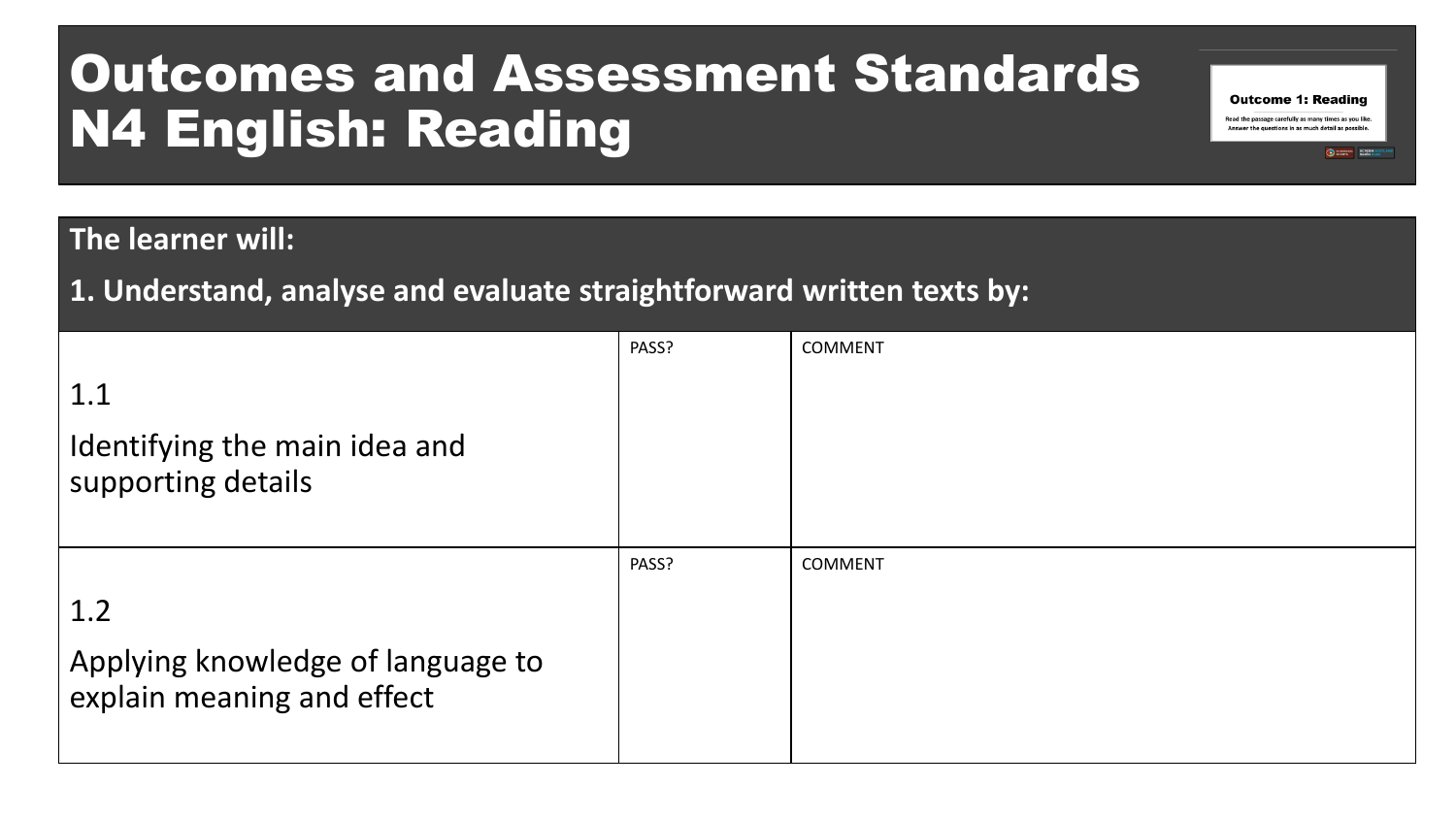### Outcomes and Assessment Standards N4 English: Reading

#### **The learner will:**

**1. Understand, analyse and evaluate straightforward written texts by:**

| 1.1<br>Identifying the main idea and<br>supporting details             | PASS? | <b>COMMENT</b> |
|------------------------------------------------------------------------|-------|----------------|
| 1.2<br>Applying knowledge of language to<br>explain meaning and effect | PASS? | <b>COMMENT</b> |

**Outcome 1: Reading** Read the passage carefully as many times as you like. Answer the questions in as much detail as possible.

SCREEN SORIN ALEX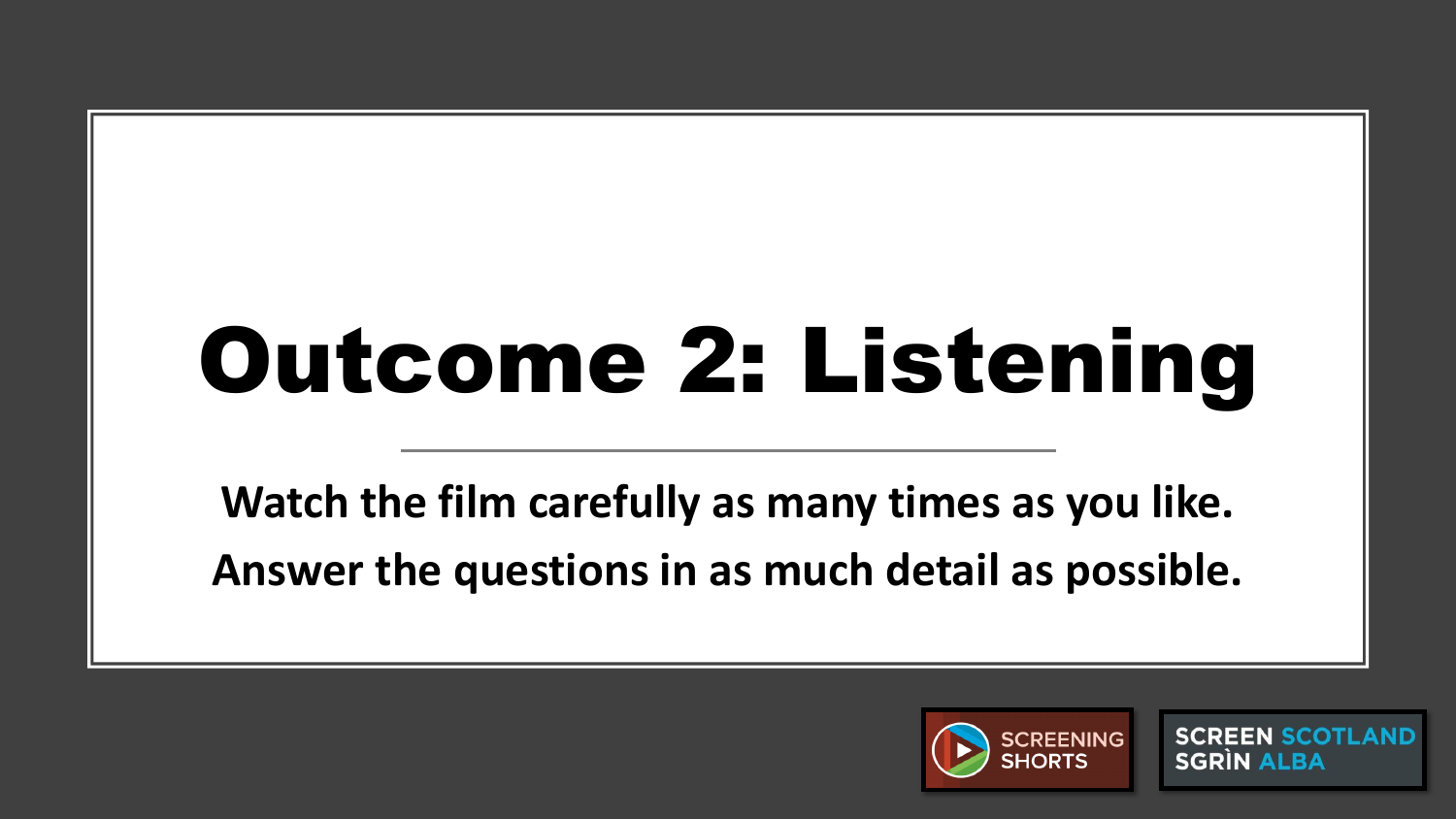# Outcome 2: Listening

**Watch the film carefully as many times as you like. Answer the questions in as much detail as possible.**



**SCREEN SCOTLAND SGRIN ALBA**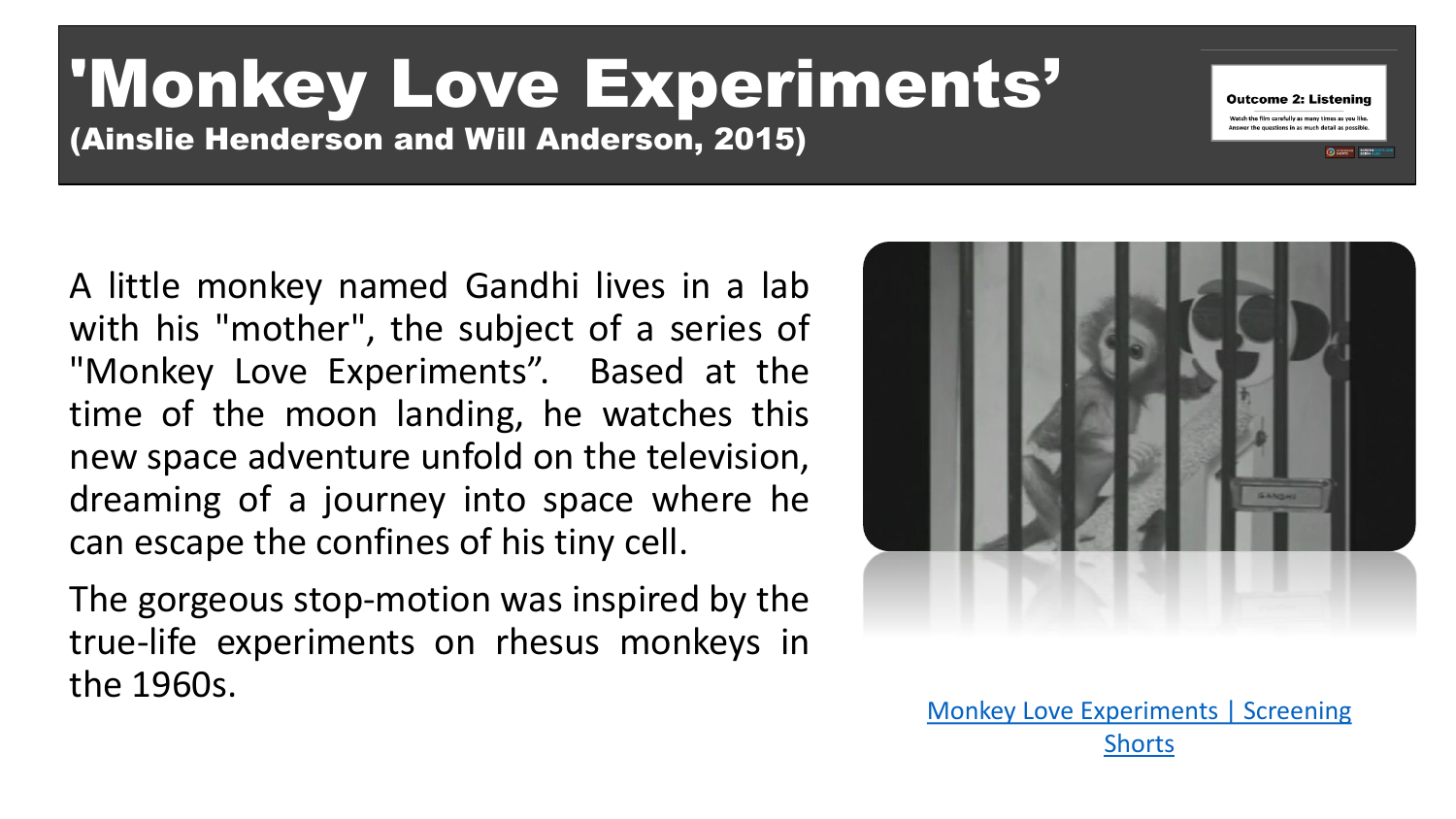# 'Monkey Love Experiments'

(Ainslie Henderson and Will Anderson, 2015)

A little monkey named Gandhi lives in a lab with his "mother", the subject of a series of "Monkey Love Experiments". Based at the time of the moon landing, he watches this new space adventure unfold on the television, dreaming of a journey into space where he can escape the confines of his tiny cell.

The gorgeous stop-motion was inspired by the true-life experiments on rhesus monkeys in the 1960s.



**Outcome 2: Listening** .<br>Vatch the film carefully as many times as you like the questions in as much detail as possible

[Monkey Love Experiments | Screening](https://screeningshorts.org.uk/browse-films/monkey-love-experiments) **Shorts**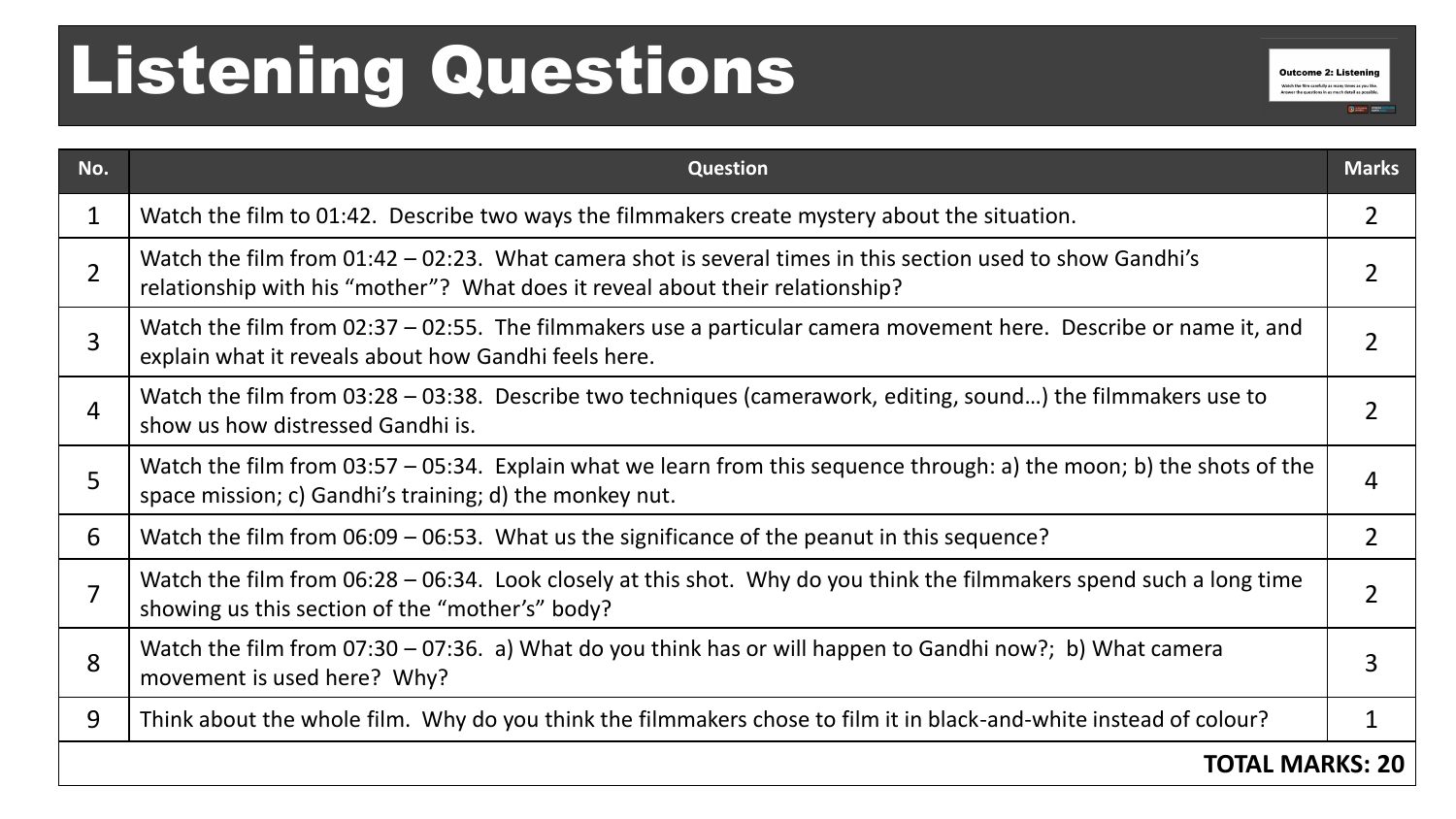## Listening Questions

| No.            | <b>Question</b>                                                                                                                                                                             | <b>Marks</b>   |
|----------------|---------------------------------------------------------------------------------------------------------------------------------------------------------------------------------------------|----------------|
| $\mathbf{1}$   | Watch the film to 01:42. Describe two ways the filmmakers create mystery about the situation.                                                                                               | 2              |
| $\overline{2}$ | Watch the film from 01:42 – 02:23. What camera shot is several times in this section used to show Gandhi's<br>relationship with his "mother"? What does it reveal about their relationship? |                |
| $\overline{3}$ | Watch the film from 02:37 - 02:55. The filmmakers use a particular camera movement here. Describe or name it, and<br>explain what it reveals about how Gandhi feels here.                   |                |
| $\overline{4}$ | Watch the film from $03:28 - 03:38$ . Describe two techniques (camerawork, editing, sound) the filmmakers use to<br>show us how distressed Gandhi is.                                       |                |
| 5              | Watch the film from 03:57 – 05:34. Explain what we learn from this sequence through: a) the moon; b) the shots of the<br>space mission; c) Gandhi's training; d) the monkey nut.            |                |
| 6              | Watch the film from $06:09 - 06:53$ . What us the significance of the peanut in this sequence?                                                                                              | $\overline{2}$ |
| $\overline{7}$ | Watch the film from 06:28 – 06:34. Look closely at this shot. Why do you think the filmmakers spend such a long time<br>showing us this section of the "mother's" body?                     |                |
| 8              | Watch the film from 07:30 – 07:36. a) What do you think has or will happen to Gandhi now?; b) What camera<br>movement is used here? Why?                                                    |                |
| 9              | Think about the whole film. Why do you think the filmmakers chose to film it in black-and-white instead of colour?                                                                          |                |
|                | <b>TOTAL MARKS: 20</b>                                                                                                                                                                      |                |

**Outcome 2: Listening** Watch the film carefully as many times as you like. Answer the questions in as much detail as possible.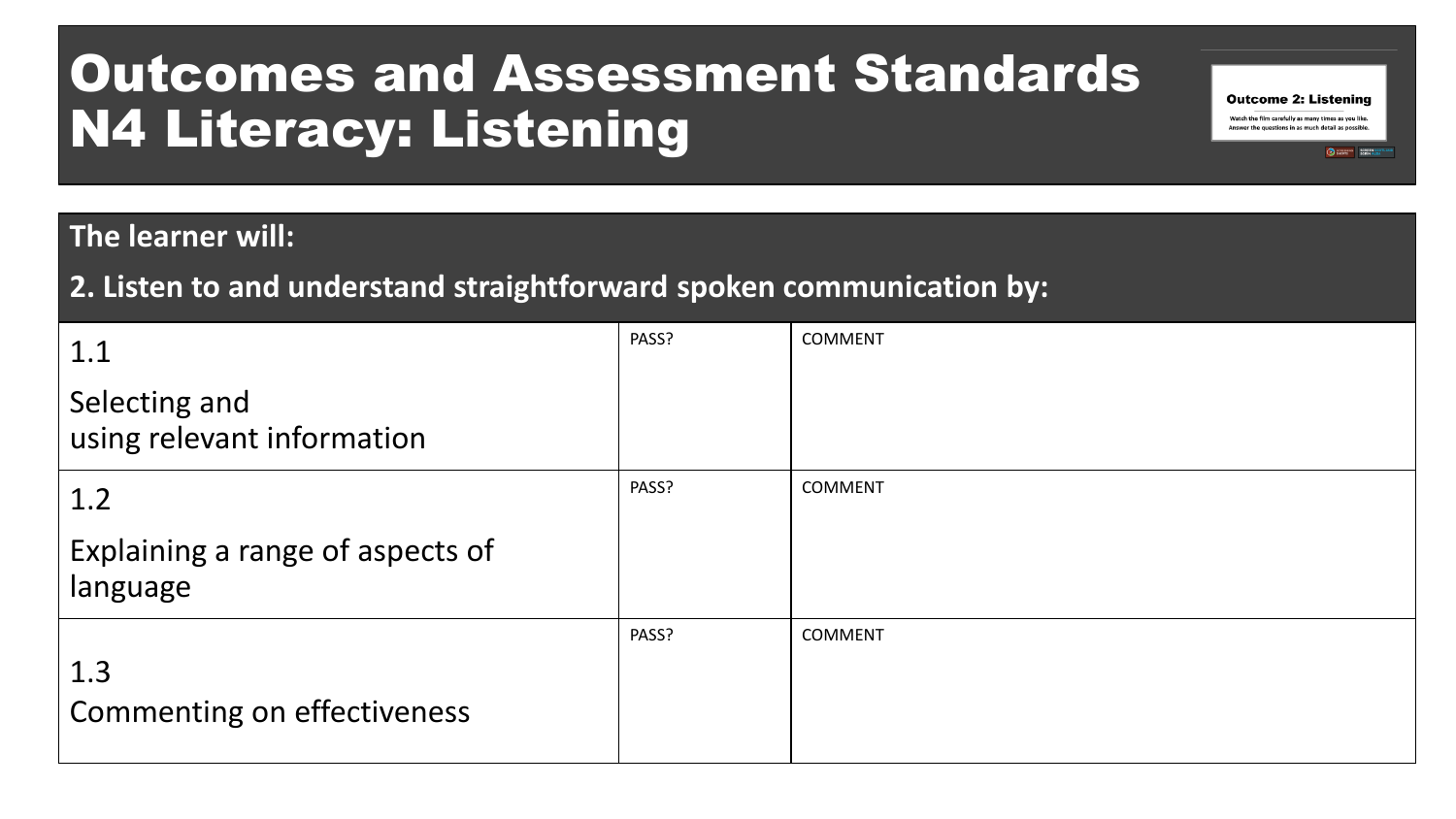### Outcomes and Assessment Standards N4 Literacy: Listening

#### **The learner will:**

#### **2. Listen to and understand straightforward spoken communication by:**

| 1.1                                          | PASS? | <b>COMMENT</b> |
|----------------------------------------------|-------|----------------|
| Selecting and<br>using relevant information  |       |                |
| 1.2                                          | PASS? | <b>COMMENT</b> |
| Explaining a range of aspects of<br>language |       |                |
| 1.3<br><b>Commenting on effectiveness</b>    | PASS? | COMMENT        |

**Outcome 2: Listening** Watch the film carefully as many times as you like. Answer the questions in as much detail as possible.

CHEMING SCREENING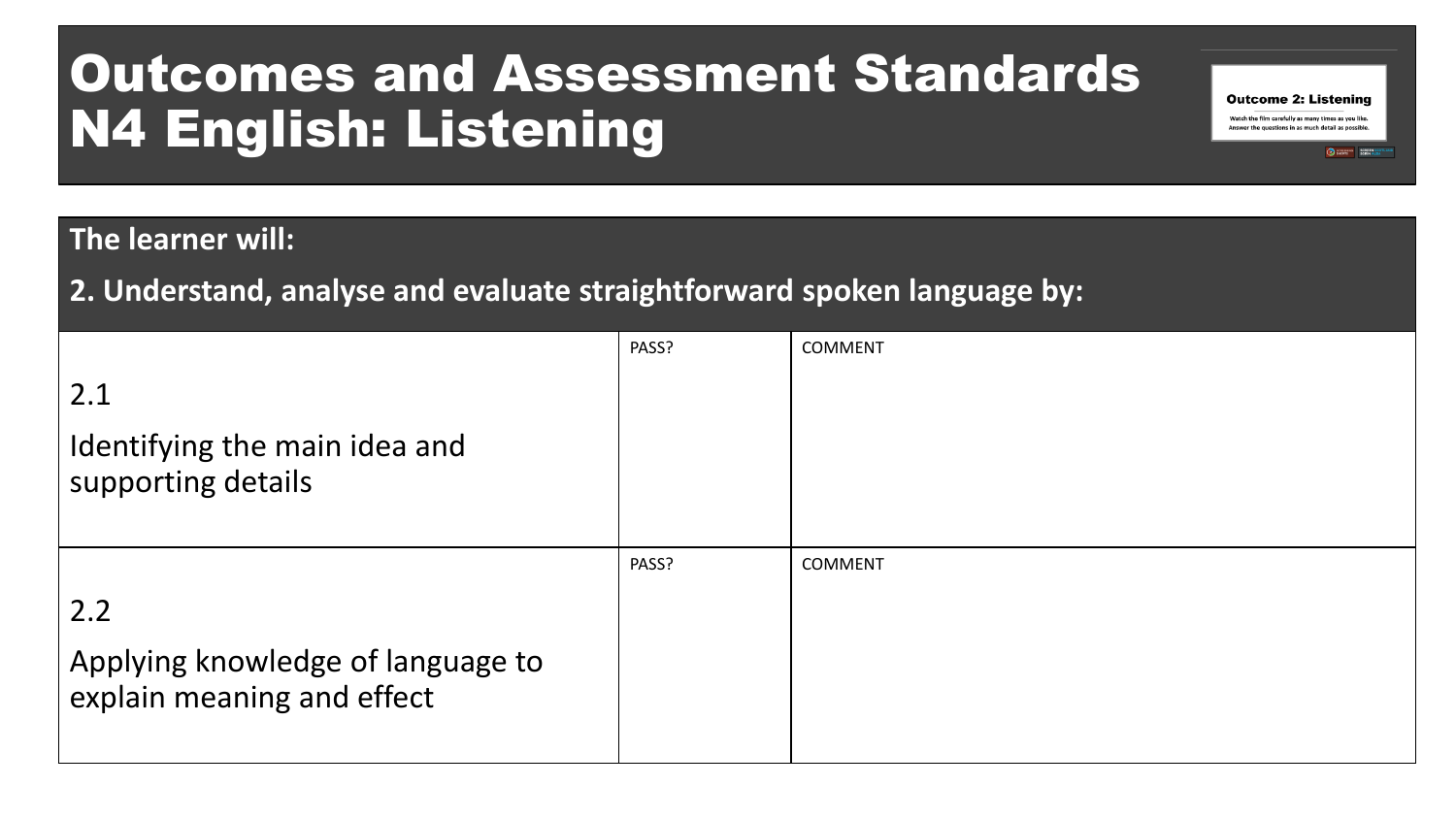### Outcomes and Assessment Standards N4 English: Listening

#### **The learner will:**

**2. Understand, analyse and evaluate straightforward spoken language by:**

|                                                                 | PASS? | <b>COMMENT</b> |
|-----------------------------------------------------------------|-------|----------------|
| 2.1<br>Identifying the main idea and<br>supporting details      |       |                |
|                                                                 |       |                |
|                                                                 | PASS? | <b>COMMENT</b> |
| 2.2                                                             |       |                |
| Applying knowledge of language to<br>explain meaning and effect |       |                |

**Outcome 2: Listening** Watch the film carefully as many times as you like. Answer the questions in as much detail as possible.

SCREEN SCO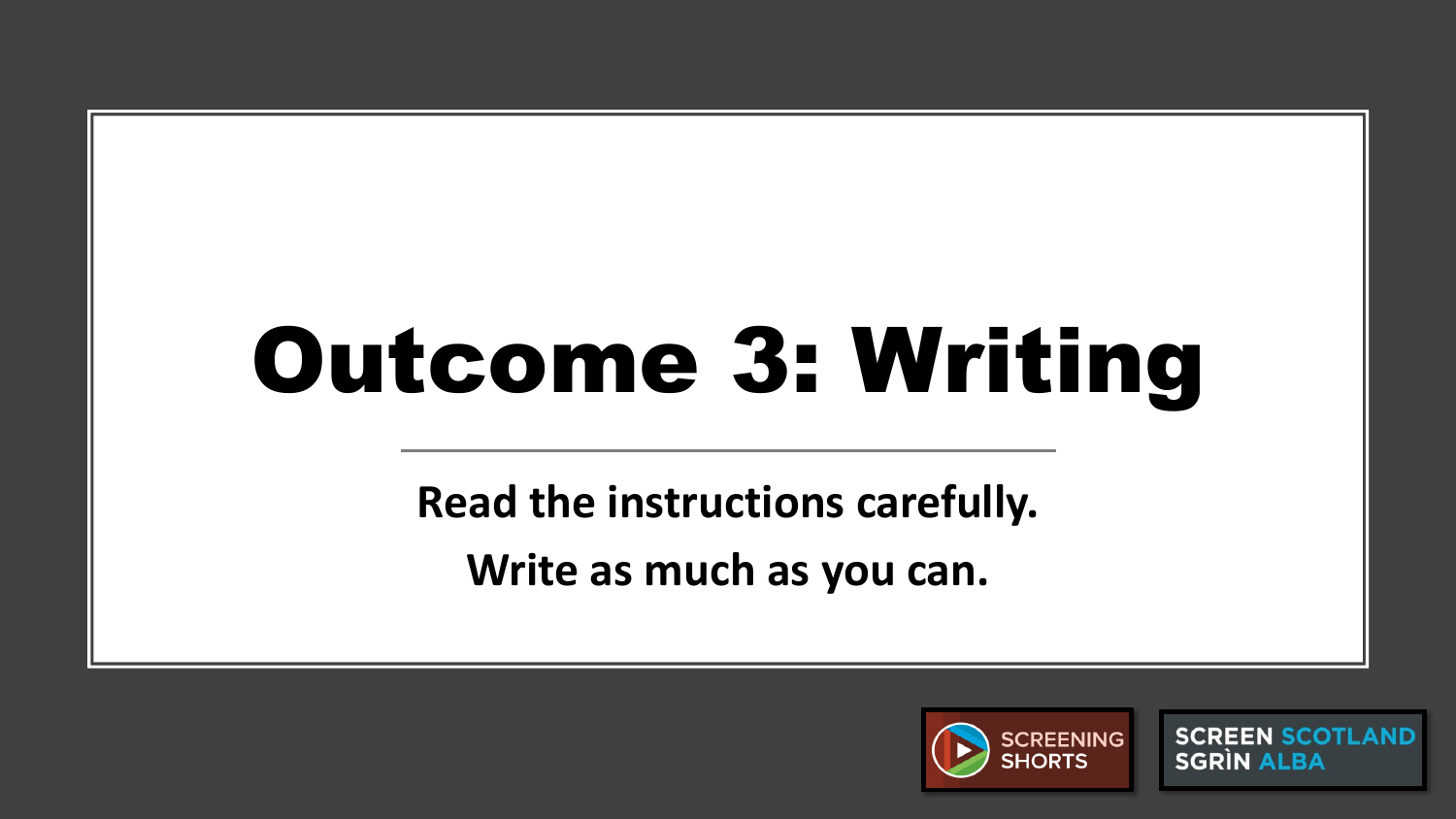# Outcome 3: Writing

**Read the instructions carefully. Write as much as you can.**



**SCREEN SCOTLAND SGRIN ALBA**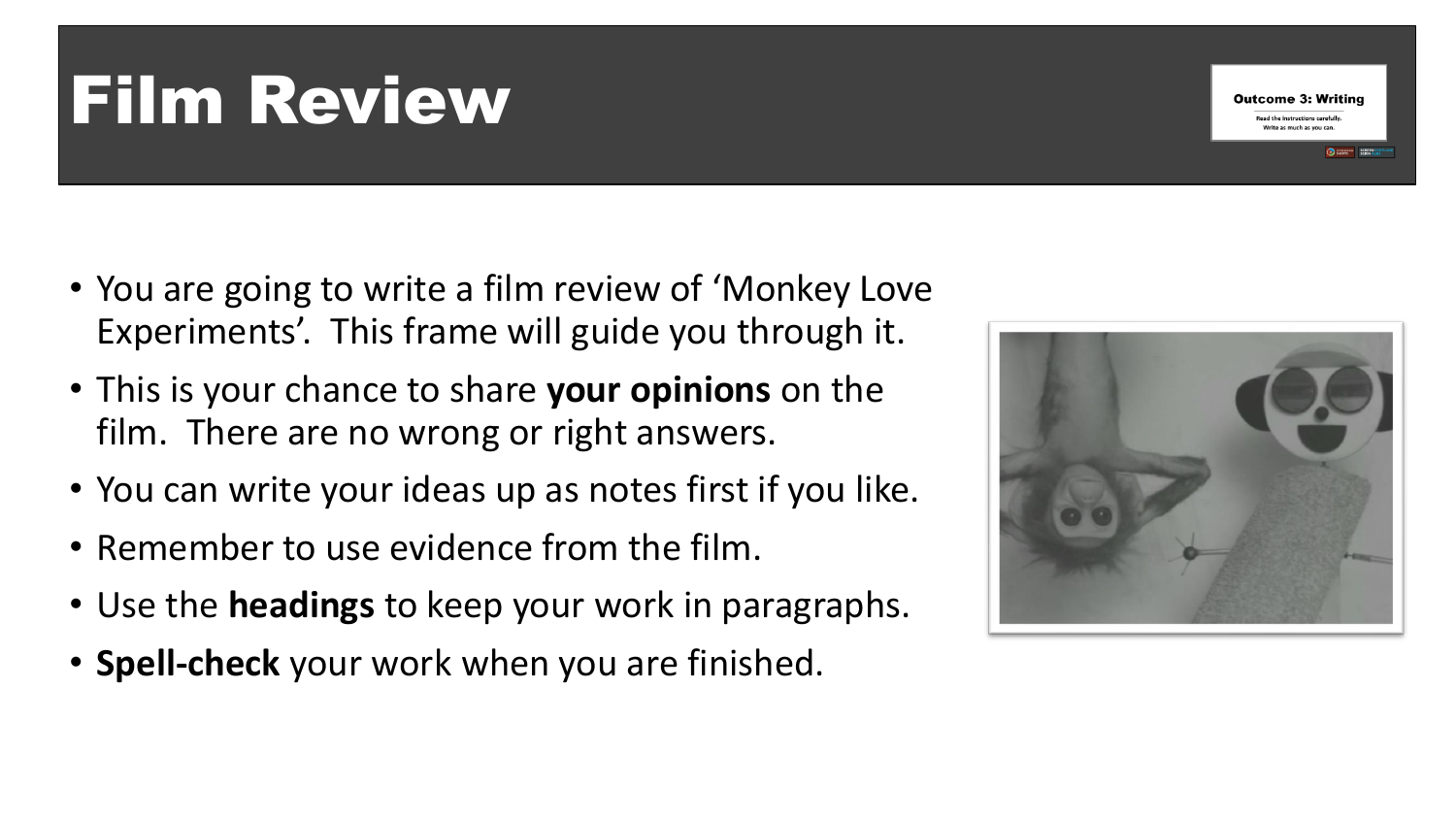## Film Review

- You are going to write a film review of 'Monkey Love Experiments'. This frame will guide you through it.
- This is your chance to share **your opinions** on the film. There are no wrong or right answers.
- You can write your ideas up as notes first if you like.
- Remember to use evidence from the film.
- Use the **headings** to keep your work in paragraphs.
- **Spell-check** your work when you are finished.



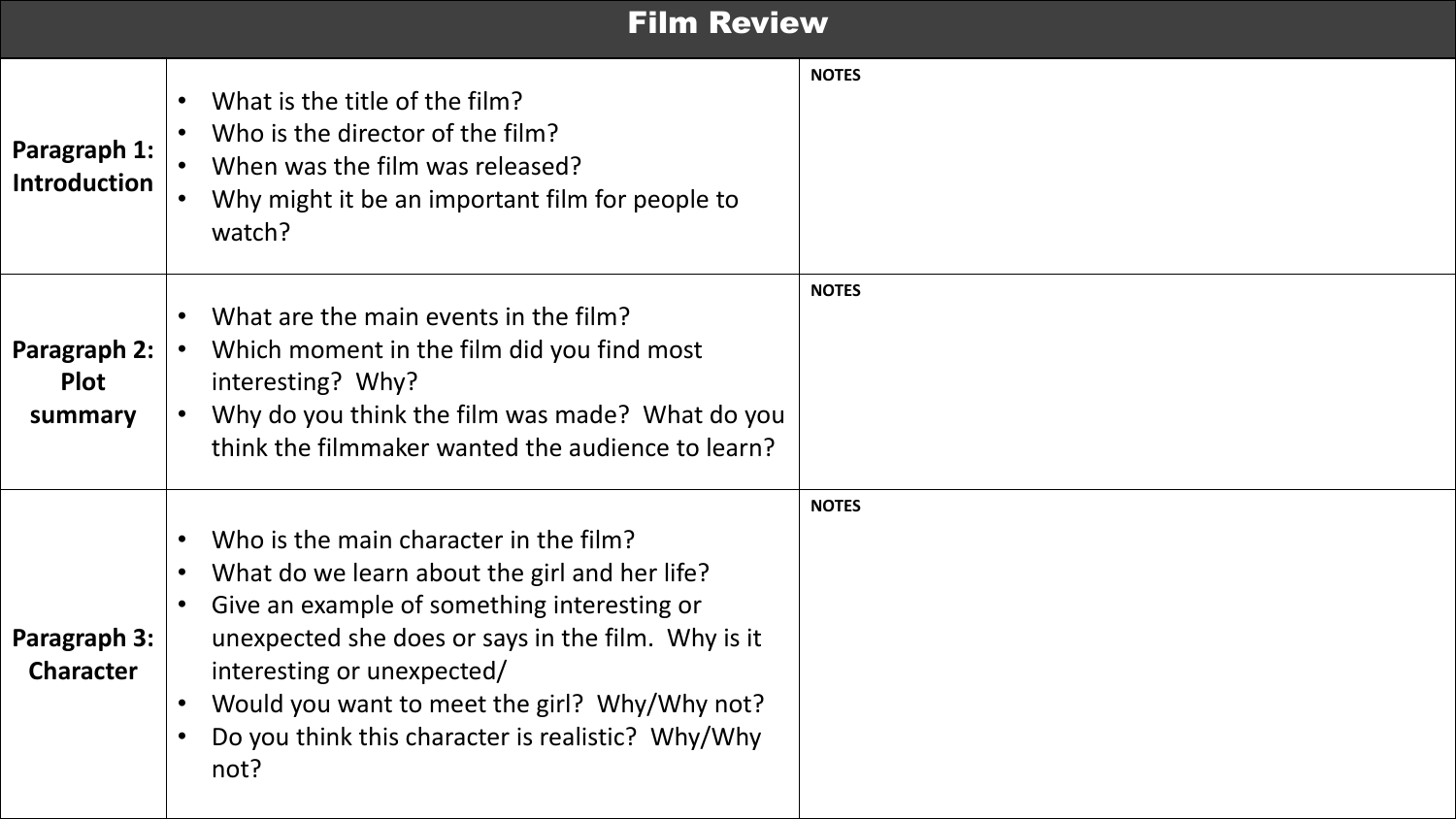#### **Film Review**

| Paragraph 1:<br><b>Introduction</b>    | What is the title of the film?<br>Who is the director of the film?<br>When was the film was released?<br>Why might it be an important film for people to<br>watch?                                                                                                                                                                                    | <b>NOTES</b> |
|----------------------------------------|-------------------------------------------------------------------------------------------------------------------------------------------------------------------------------------------------------------------------------------------------------------------------------------------------------------------------------------------------------|--------------|
| Paragraph 2:<br><b>Plot</b><br>summary | What are the main events in the film?<br>$\bullet$<br>Which moment in the film did you find most<br>$\bullet$<br>interesting? Why?<br>Why do you think the film was made? What do you<br>think the filmmaker wanted the audience to learn?                                                                                                            | <b>NOTES</b> |
| Paragraph 3:<br><b>Character</b>       | Who is the main character in the film?<br>$\bullet$<br>What do we learn about the girl and her life?<br>Give an example of something interesting or<br>unexpected she does or says in the film. Why is it<br>interesting or unexpected/<br>Would you want to meet the girl? Why/Why not?<br>Do you think this character is realistic? Why/Why<br>not? | <b>NOTES</b> |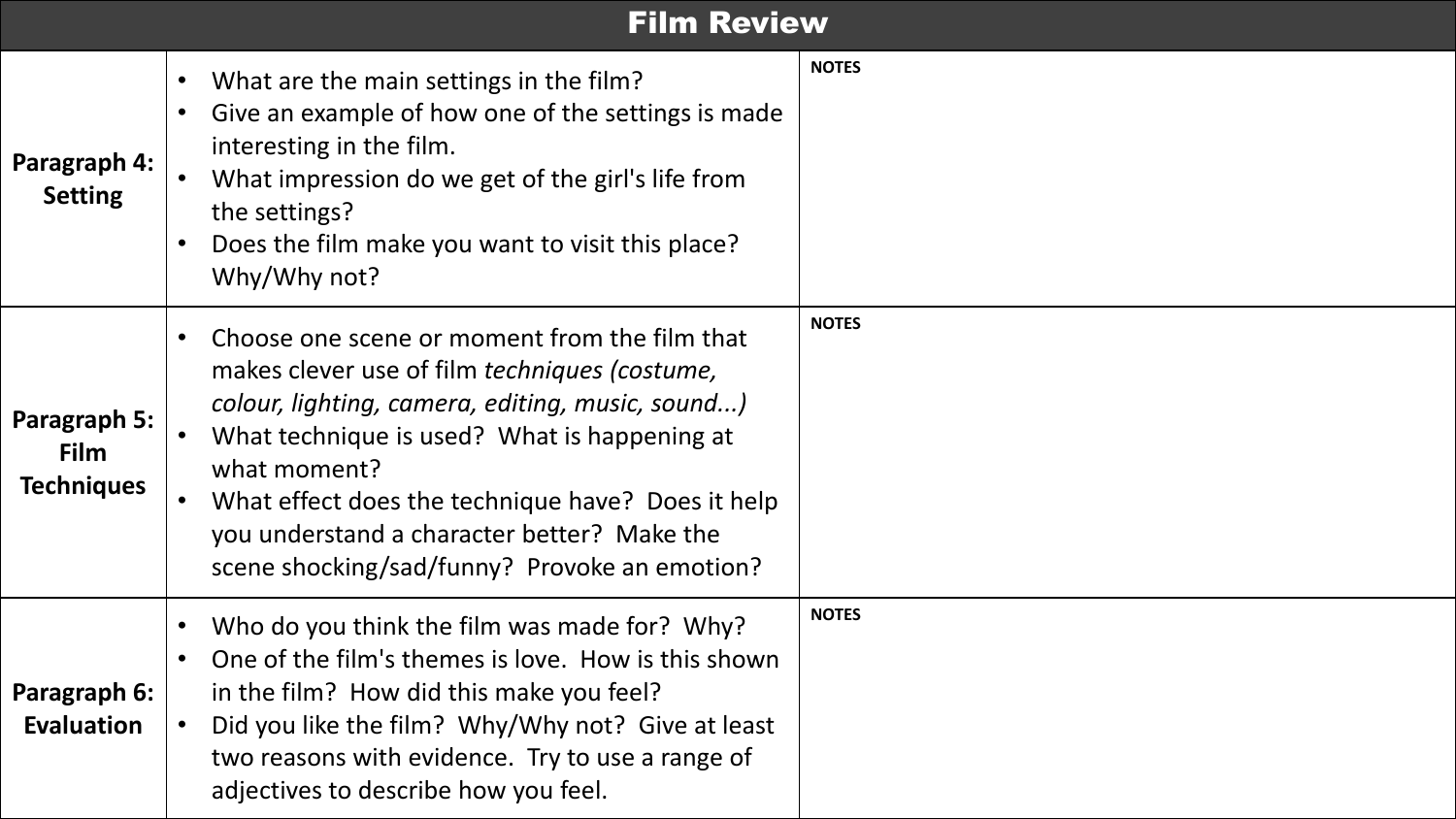#### Film Review

| Paragraph 4:<br><b>Setting</b>                          | What are the main settings in the film?<br>$\bullet$<br>Give an example of how one of the settings is made<br>$\bullet$<br>interesting in the film.<br>What impression do we get of the girl's life from<br>the settings?<br>Does the film make you want to visit this place?<br>$\bullet$<br>Why/Why not?                                                                                                     | <b>NOTES</b> |
|---------------------------------------------------------|----------------------------------------------------------------------------------------------------------------------------------------------------------------------------------------------------------------------------------------------------------------------------------------------------------------------------------------------------------------------------------------------------------------|--------------|
| <b>Paragraph 5:</b><br><b>Film</b><br><b>Techniques</b> | Choose one scene or moment from the film that<br>$\bullet$<br>makes clever use of film techniques (costume,<br>colour, lighting, camera, editing, music, sound)<br>What technique is used? What is happening at<br>$\bullet$<br>what moment?<br>What effect does the technique have? Does it help<br>$\bullet$<br>you understand a character better? Make the<br>scene shocking/sad/funny? Provoke an emotion? | <b>NOTES</b> |
| Paragraph 6:<br><b>Evaluation</b>                       | Who do you think the film was made for? Why?<br>$\bullet$<br>One of the film's themes is love. How is this shown<br>$\bullet$<br>in the film? How did this make you feel?<br>Did you like the film? Why/Why not? Give at least<br>two reasons with evidence. Try to use a range of<br>adjectives to describe how you feel.                                                                                     | <b>NOTES</b> |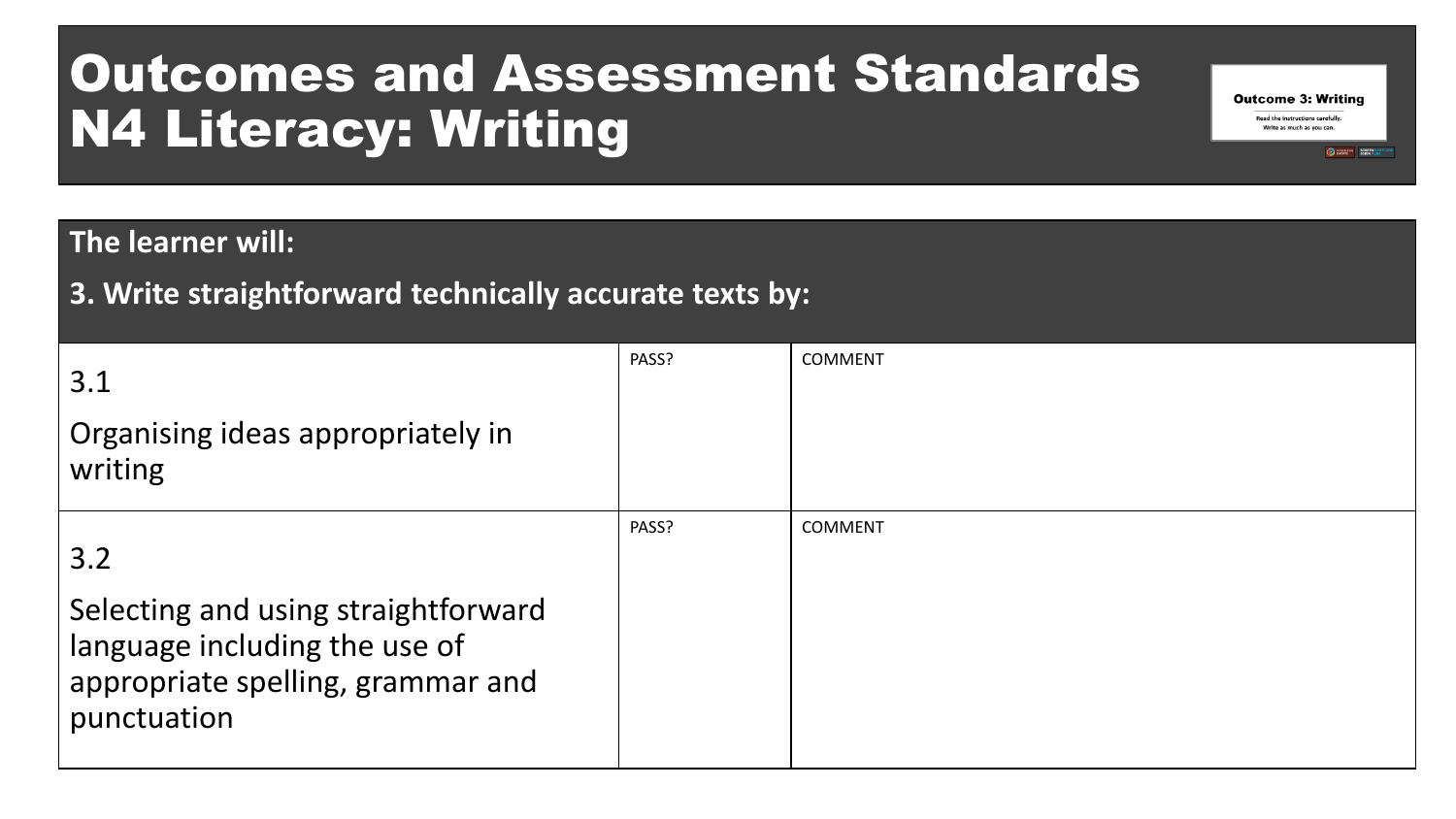### Outcomes and Assessment Standards N4 Literacy: Writing

#### **The learner will:**

#### **3. Write straightforward technically accurate texts by:**

| 3.1<br>Organising ideas appropriately in<br>writing                                                                             | PASS? | <b>COMMENT</b> |
|---------------------------------------------------------------------------------------------------------------------------------|-------|----------------|
| 3.2<br>Selecting and using straightforward<br>language including the use of<br>appropriate spelling, grammar and<br>punctuation | PASS? | <b>COMMENT</b> |

**Outcome 3: Writing** Read the instructions carefully. Write as much as you can.

SCREEN SCOTLA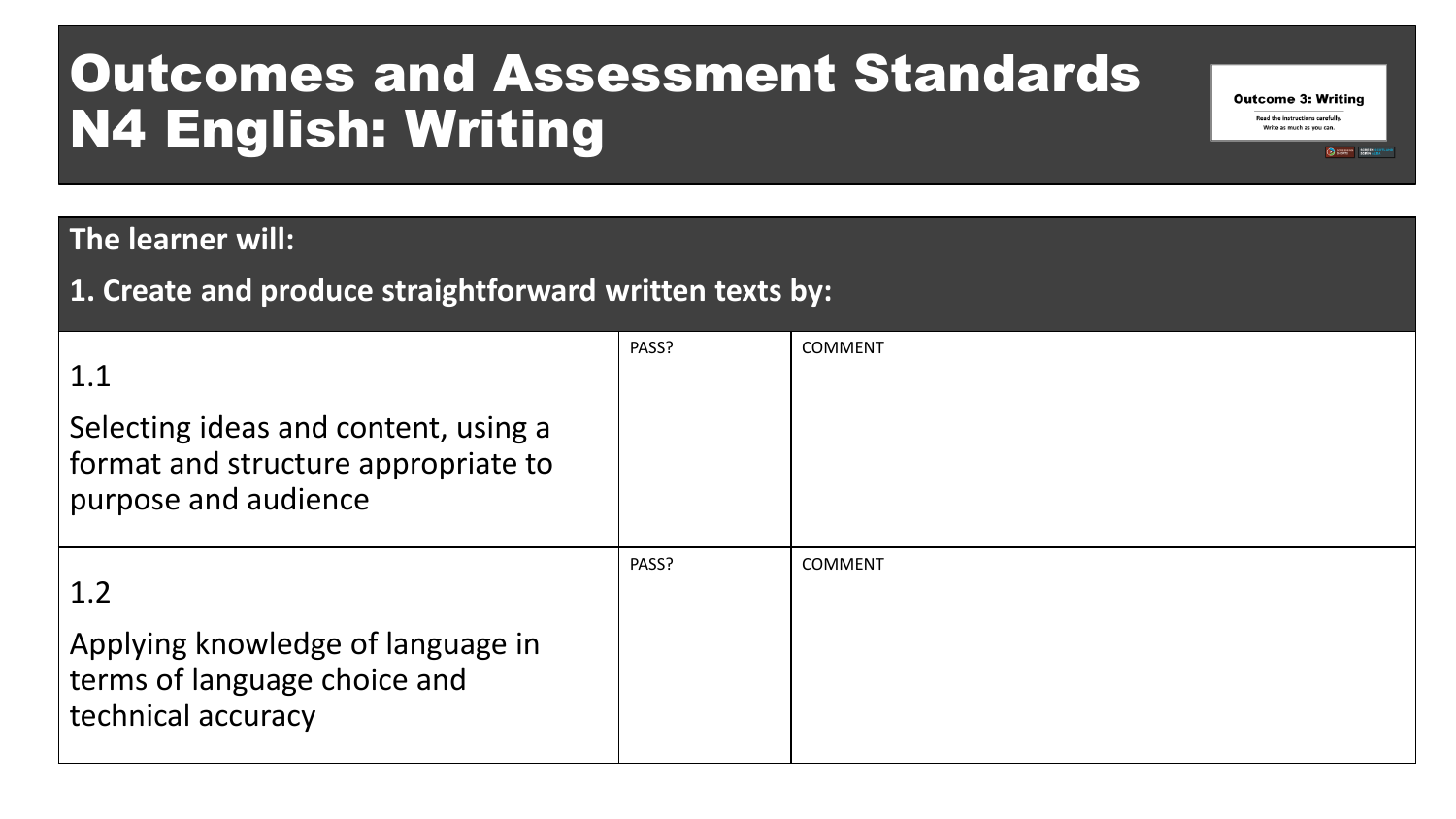### Outcomes and Assessment Standards N4 English: Writing

#### **The learner will:**

#### **1. Create and produce straightforward written texts by:**

| 1.1                                                                                                 | PASS? | <b>COMMENT</b> |
|-----------------------------------------------------------------------------------------------------|-------|----------------|
| Selecting ideas and content, using a<br>format and structure appropriate to<br>purpose and audience |       |                |
| 1.2                                                                                                 | PASS? | <b>COMMENT</b> |
| Applying knowledge of language in<br>terms of language choice and<br>technical accuracy             |       |                |

**Outcome 3: Writing Read the instructions carefully** Write as much as you can.

SCREEN SCOTLA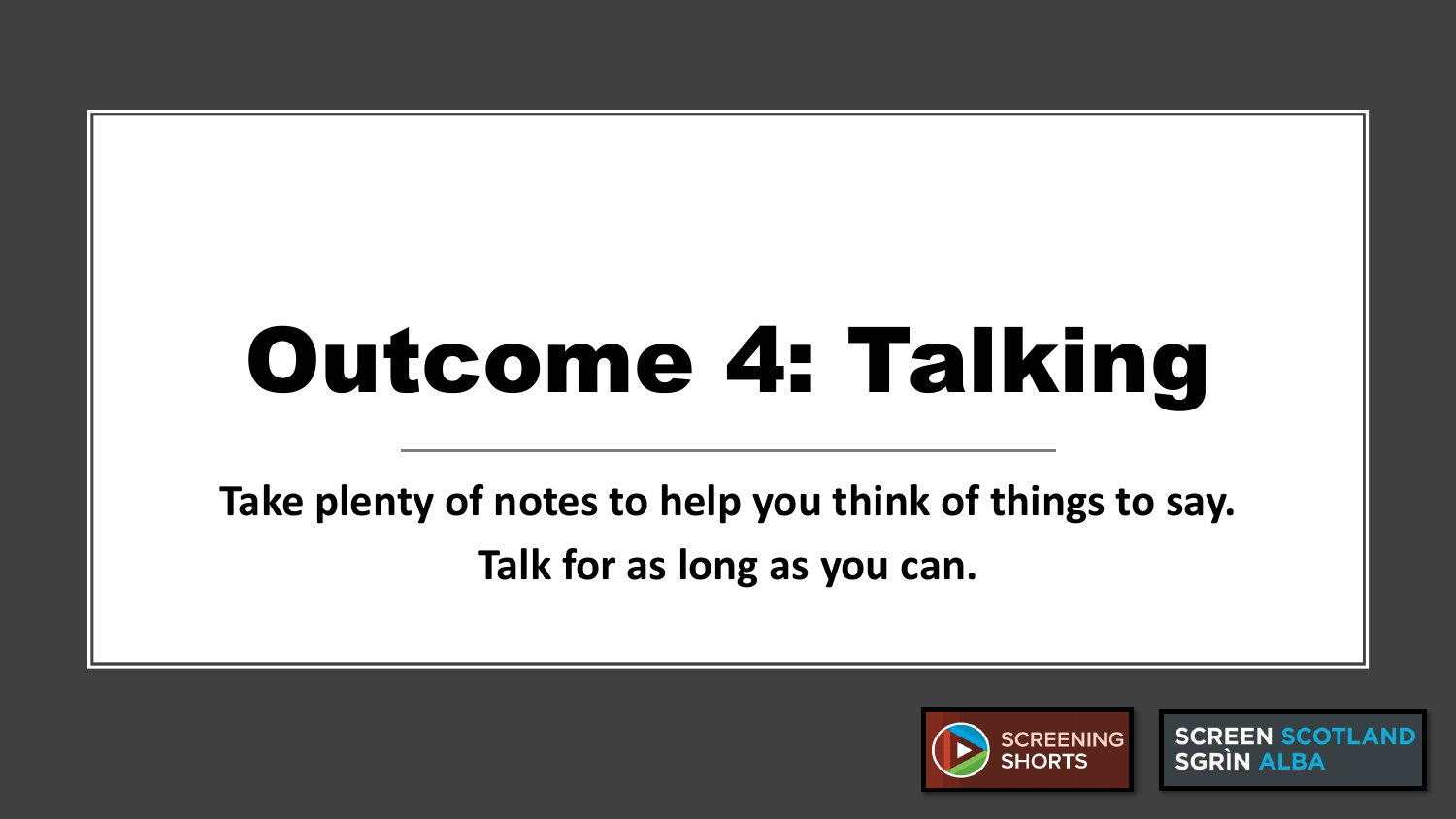# Outcome 4: Talking

**Take plenty of notes to help you think of things to say. Talk for as long as you can.**



**SCREEN SCOTLAND SGRIN ALBA**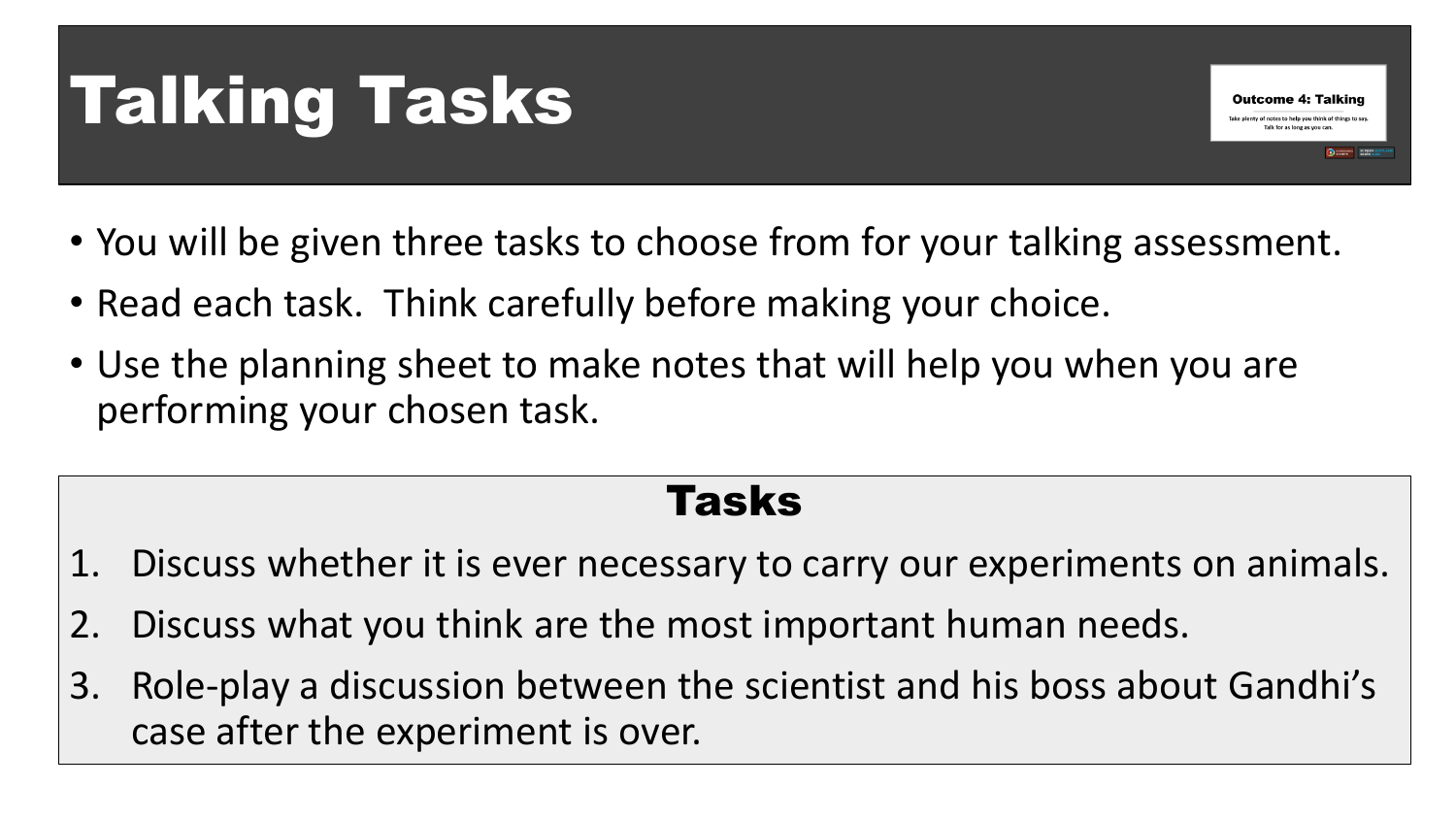## Talking Tasks

• You will be given three tasks to choose from for your talking assessment.

**Outcome 4: Talking** ty of notes to help you think of things to sa

- Read each task. Think carefully before making your choice.
- Use the planning sheet to make notes that will help you when you are performing your chosen task.

#### Tasks

- 1. Discuss whether it is ever necessary to carry our experiments on animals.
- 2. Discuss what you think are the most important human needs.
- 3. Role-play a discussion between the scientist and his boss about Gandhi's case after the experiment is over.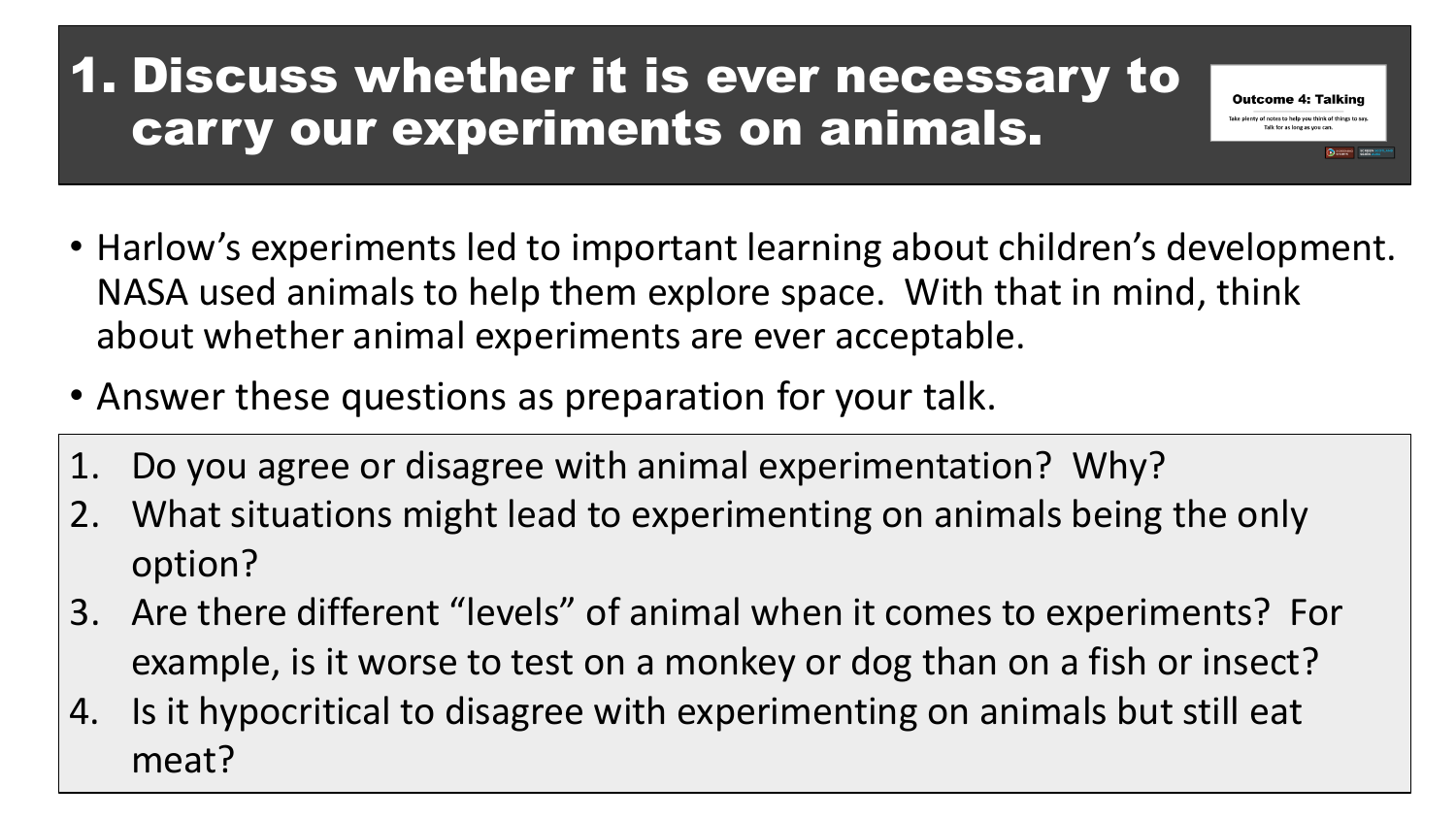#### 1. Discuss whether it is ever necessary to carry our experiments on animals.

• Harlow's experiments led to important learning about children's development. NASA used animals to help them explore space. With that in mind, think about whether animal experiments are ever acceptable.

**Outcome 4: Talking** Take plenty of notes to help you think of things

- Answer these questions as preparation for your talk.
- 1. Do you agree or disagree with animal experimentation? Why?
- 2. What situations might lead to experimenting on animals being the only option?
- 3. Are there different "levels" of animal when it comes to experiments? For example, is it worse to test on a monkey or dog than on a fish or insect?
- 4. Is it hypocritical to disagree with experimenting on animals but still eat meat?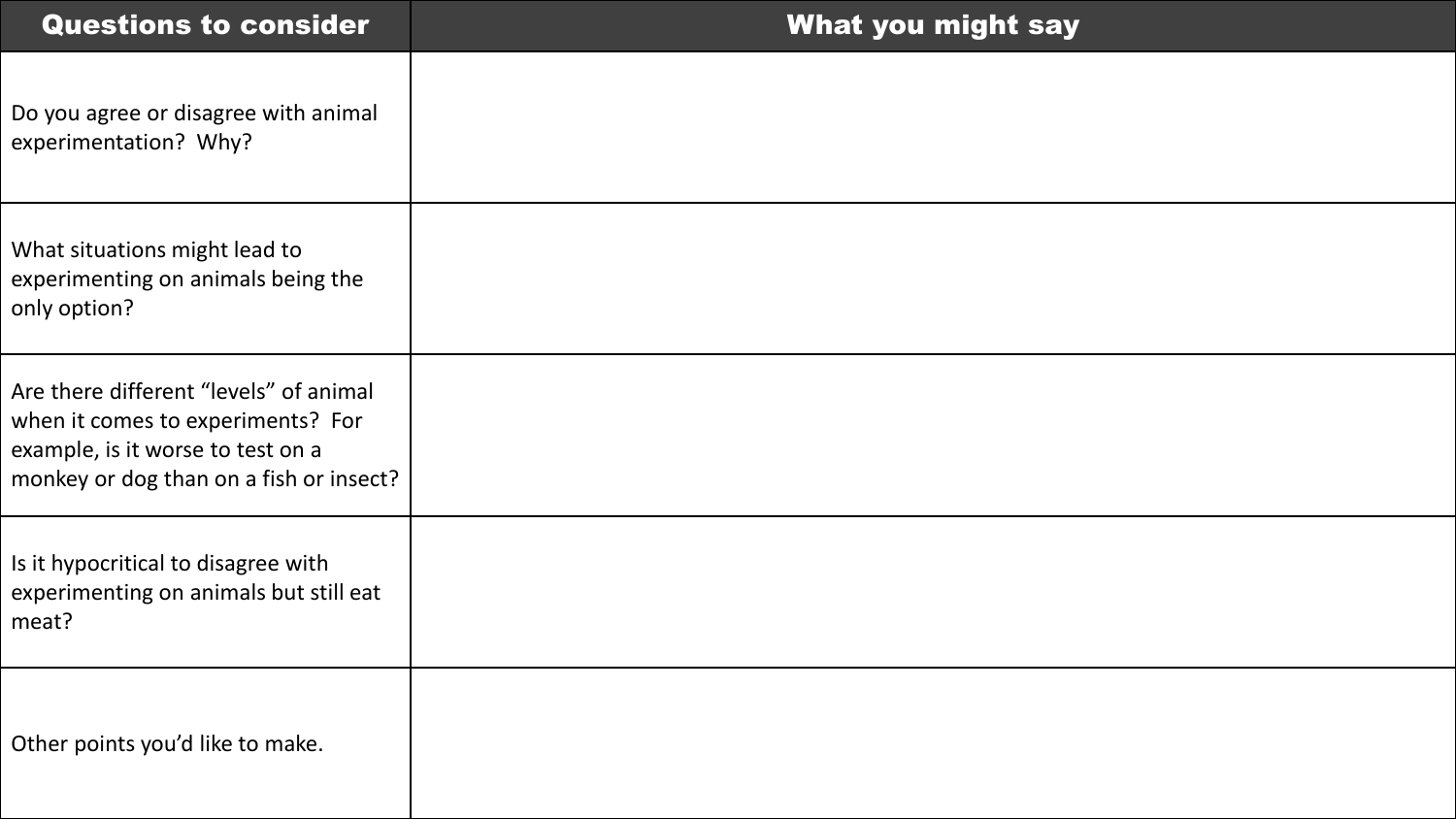| <b>Questions to consider</b>                                                                                                                                | What you might say |
|-------------------------------------------------------------------------------------------------------------------------------------------------------------|--------------------|
| Do you agree or disagree with animal<br>experimentation? Why?                                                                                               |                    |
| What situations might lead to<br>experimenting on animals being the<br>only option?                                                                         |                    |
| Are there different "levels" of animal<br>when it comes to experiments? For<br>example, is it worse to test on a<br>monkey or dog than on a fish or insect? |                    |
| Is it hypocritical to disagree with<br>experimenting on animals but still eat<br>meat?                                                                      |                    |
| Other points you'd like to make.                                                                                                                            |                    |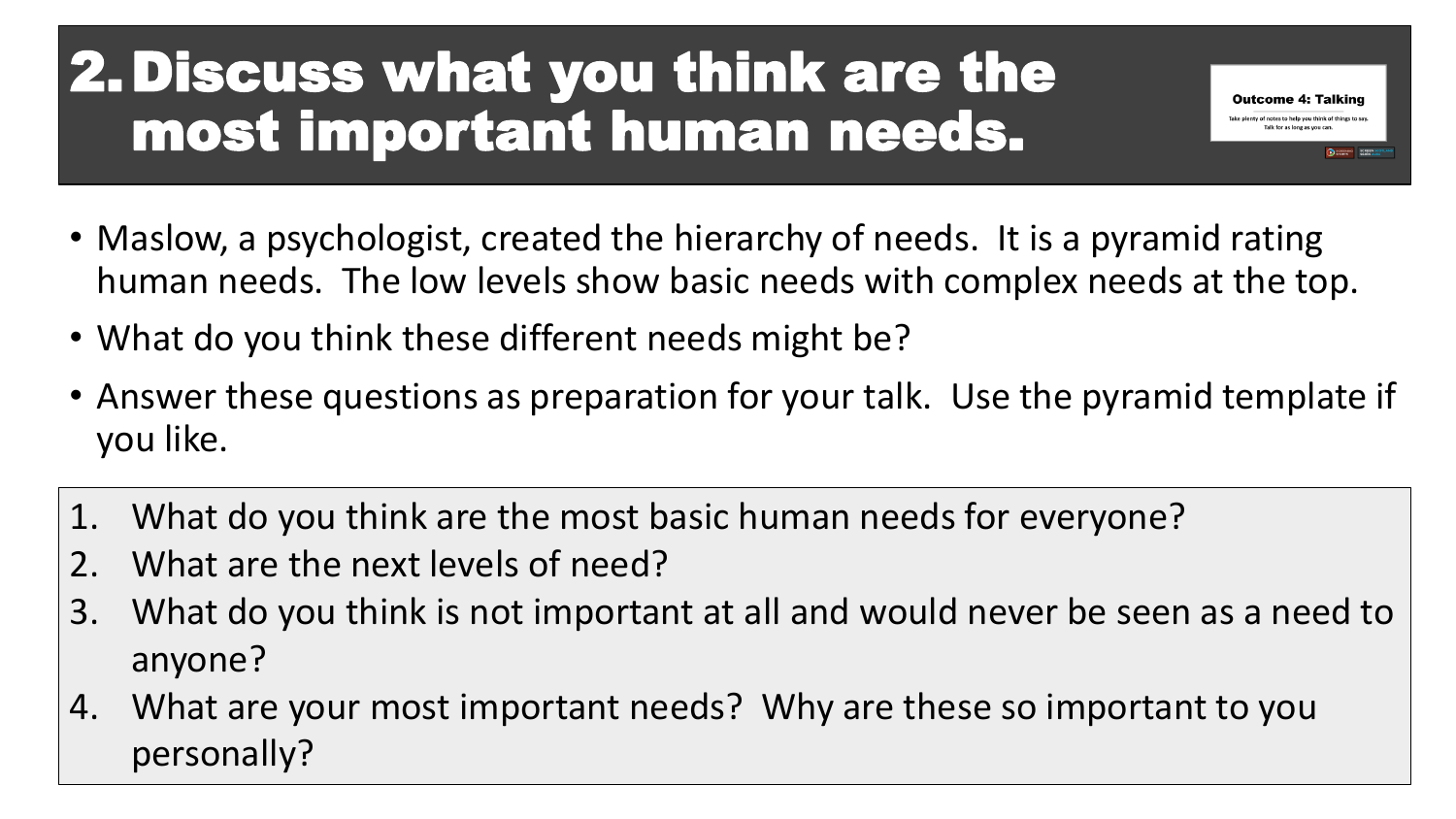### 2.Discuss what you think are the most important human needs.

• Maslow, a psychologist, created the hierarchy of needs. It is a pyramid rating human needs. The low levels show basic needs with complex needs at the top.

**Outcome 4: Talking** nty of notes to help you think of thin

- What do you think these different needs might be?
- Answer these questions as preparation for your talk. Use the pyramid template if you like.
- 1. What do you think are the most basic human needs for everyone?
- 2. What are the next levels of need?
- 3. What do you think is not important at all and would never be seen as a need to anyone?
- 4. What are your most important needs? Why are these so important to you personally?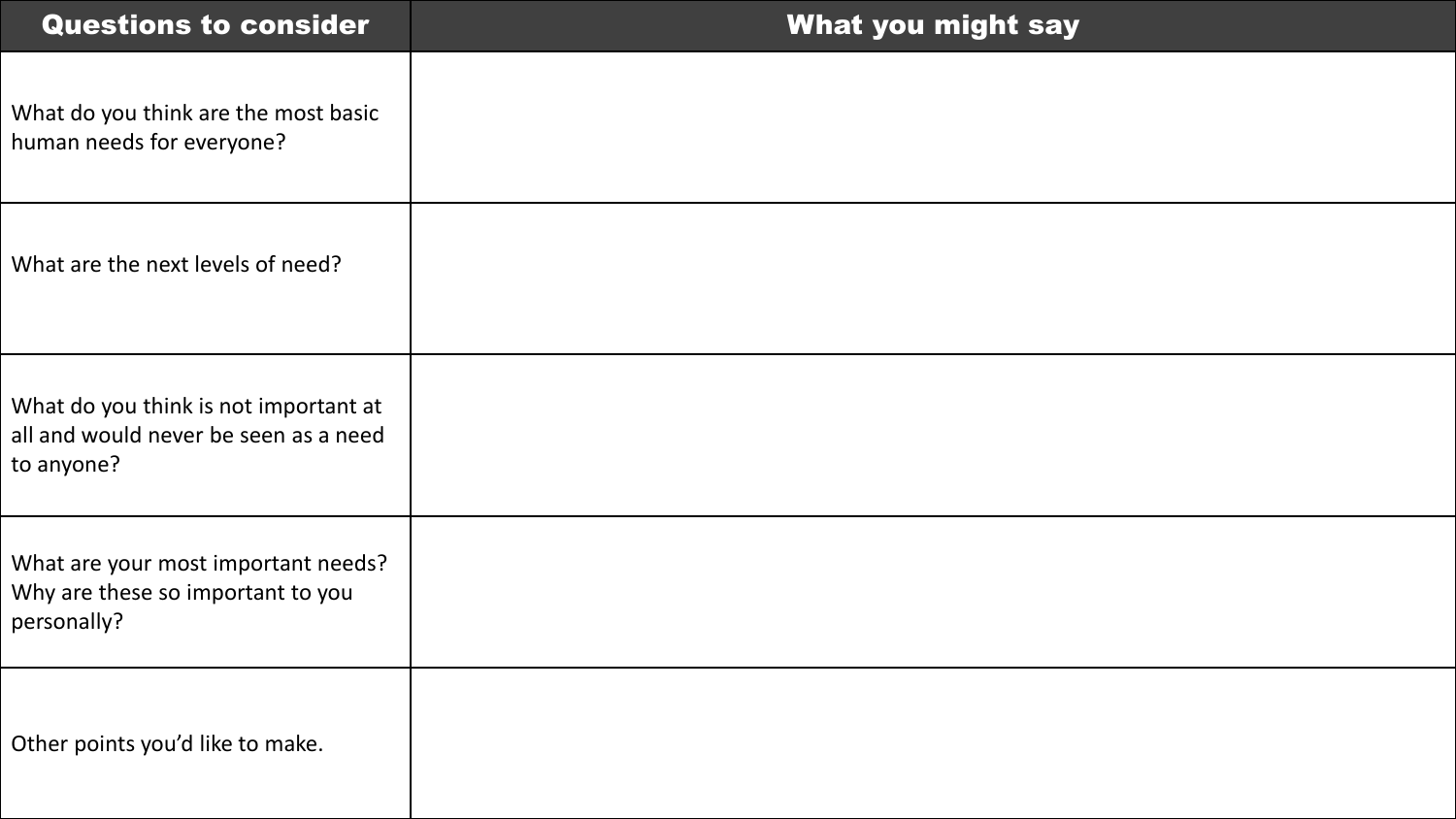| <b>Questions to consider</b>                                                                 | <b>What you might say</b> |
|----------------------------------------------------------------------------------------------|---------------------------|
| What do you think are the most basic<br>human needs for everyone?                            |                           |
| What are the next levels of need?                                                            |                           |
| What do you think is not important at<br>all and would never be seen as a need<br>to anyone? |                           |
| What are your most important needs?<br>Why are these so important to you<br>personally?      |                           |
| Other points you'd like to make.                                                             |                           |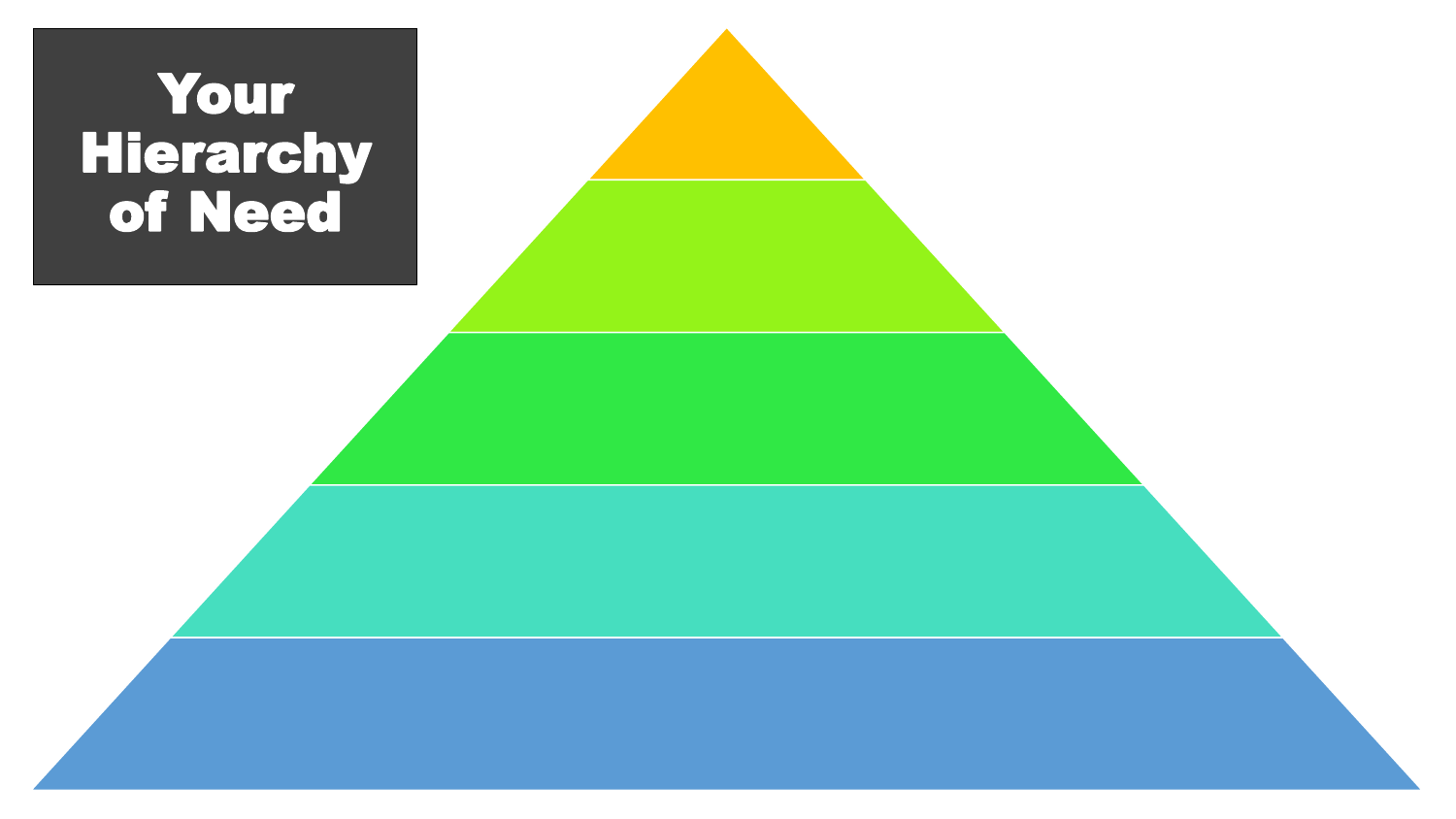### Your **Hierarchy** of Need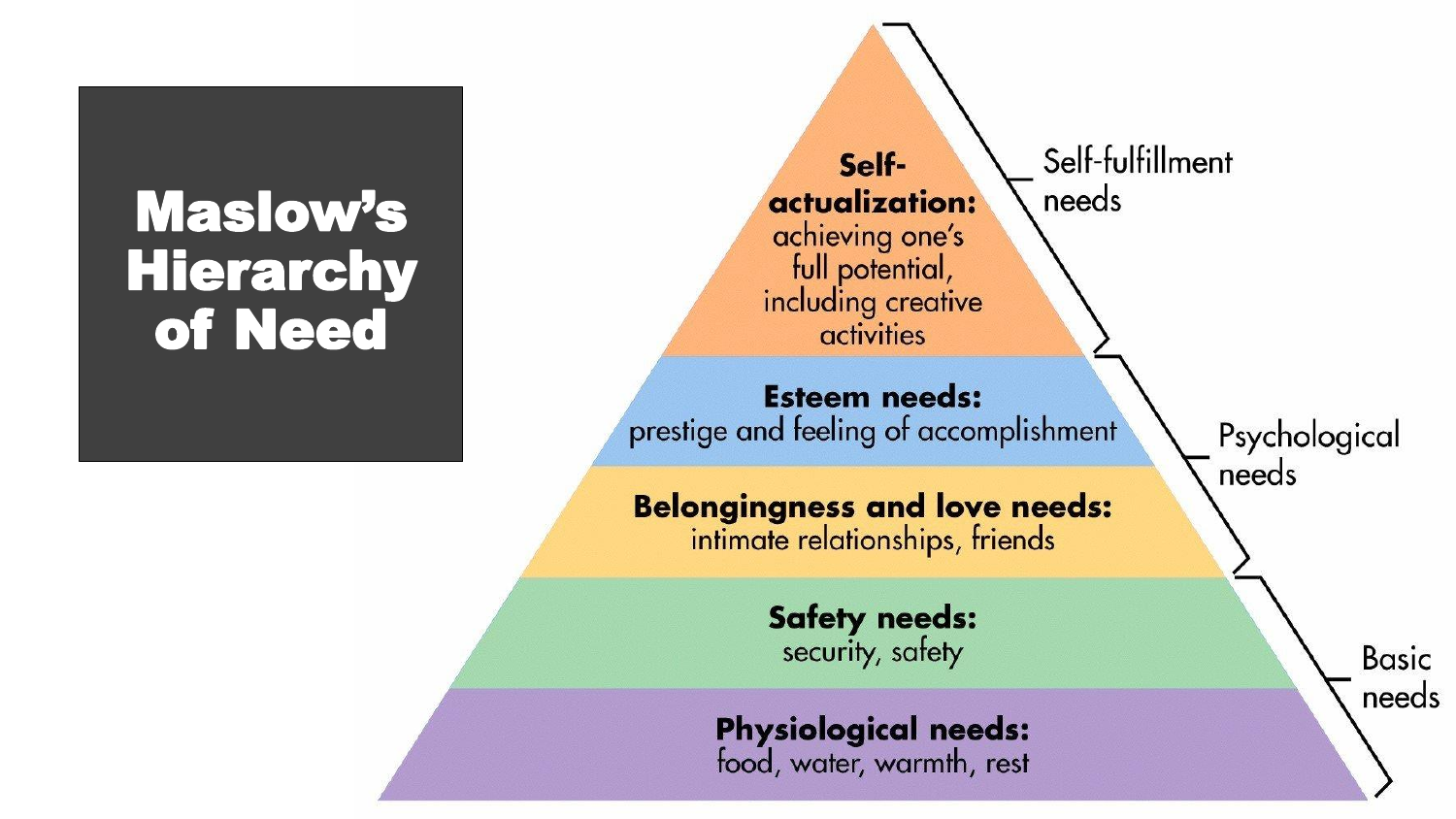### Maslow's Hierarchy of Need

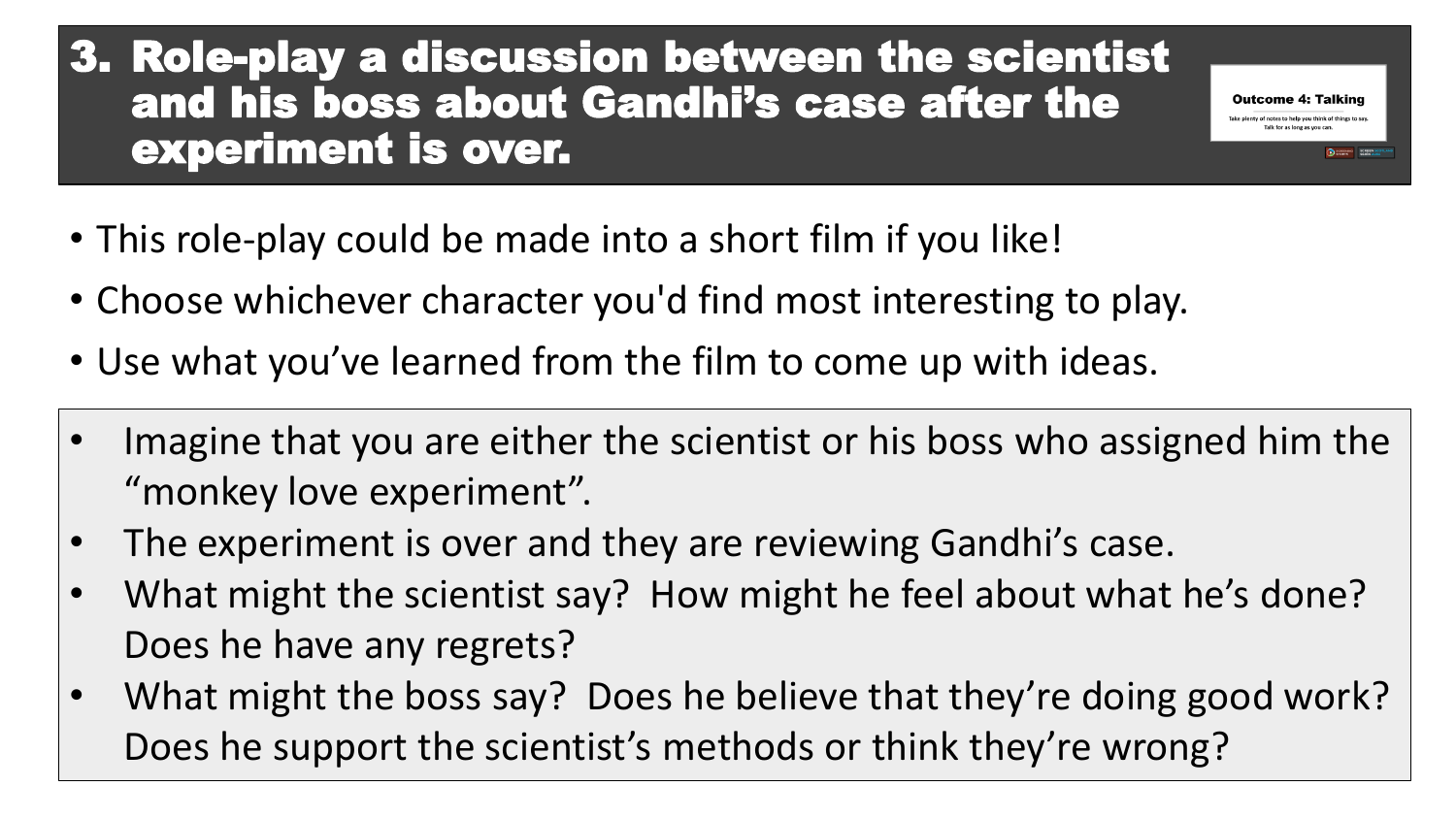#### 3. Role-play a discussion between the scientist and his boss about Gandhi's case after the experiment is over.

- This role-play could be made into a short film if you like!
- Choose whichever character you'd find most interesting to play.
- Use what you've learned from the film to come up with ideas.
- Imagine that you are either the scientist or his boss who assigned him the "monkey love experiment".

**Outcome 4: Talking** ty of notes to help you think of things t

- The experiment is over and they are reviewing Gandhi's case.
- What might the scientist say? How might he feel about what he's done? Does he have any regrets?
- What might the boss say? Does he believe that they're doing good work? Does he support the scientist's methods or think they're wrong?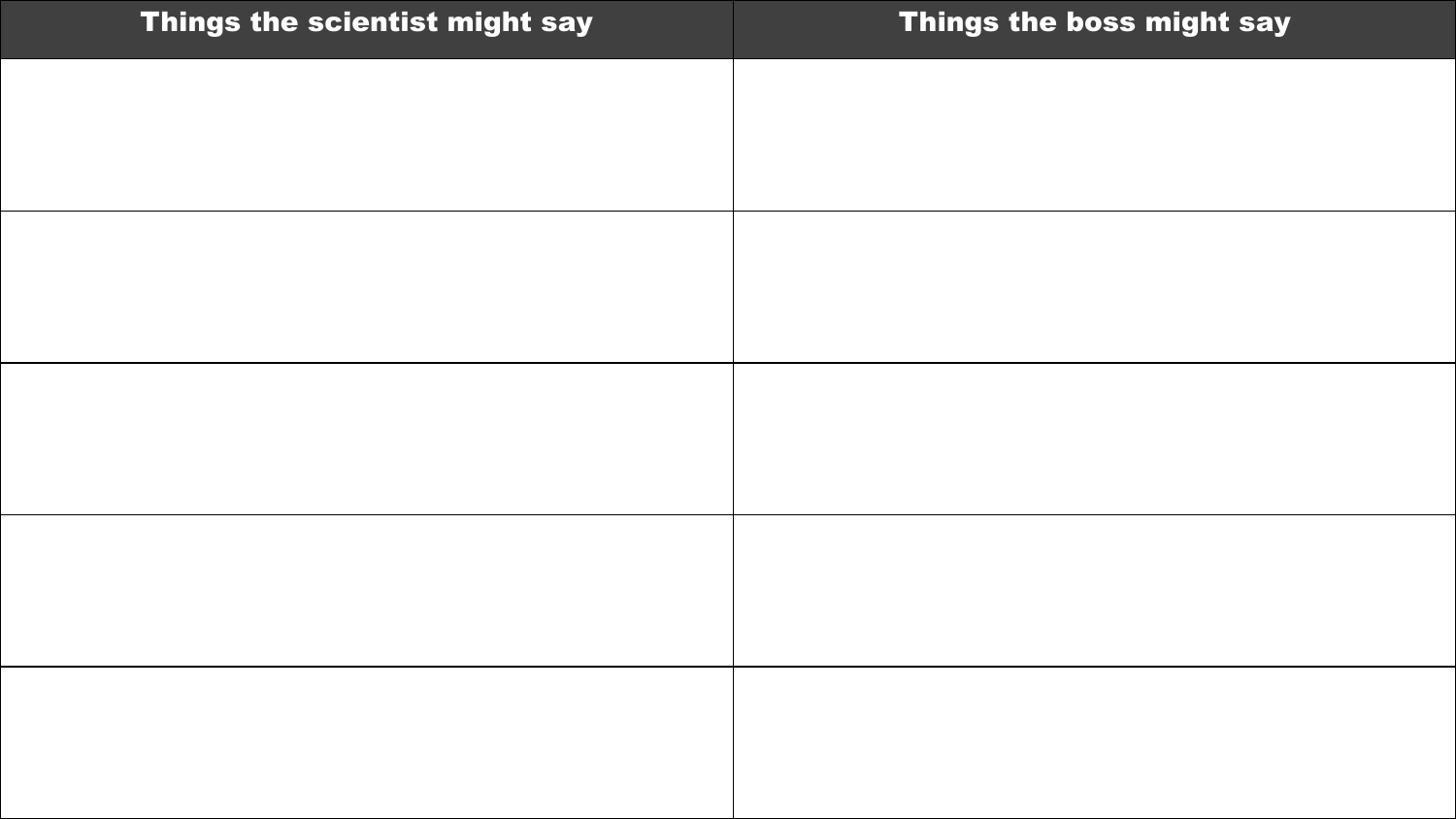| Things the scientist might say | Things the boss might say |
|--------------------------------|---------------------------|
|                                |                           |
|                                |                           |
|                                |                           |
|                                |                           |
|                                |                           |
|                                |                           |
|                                |                           |
|                                |                           |
|                                |                           |
|                                |                           |
|                                |                           |
|                                |                           |
|                                |                           |
|                                |                           |
|                                |                           |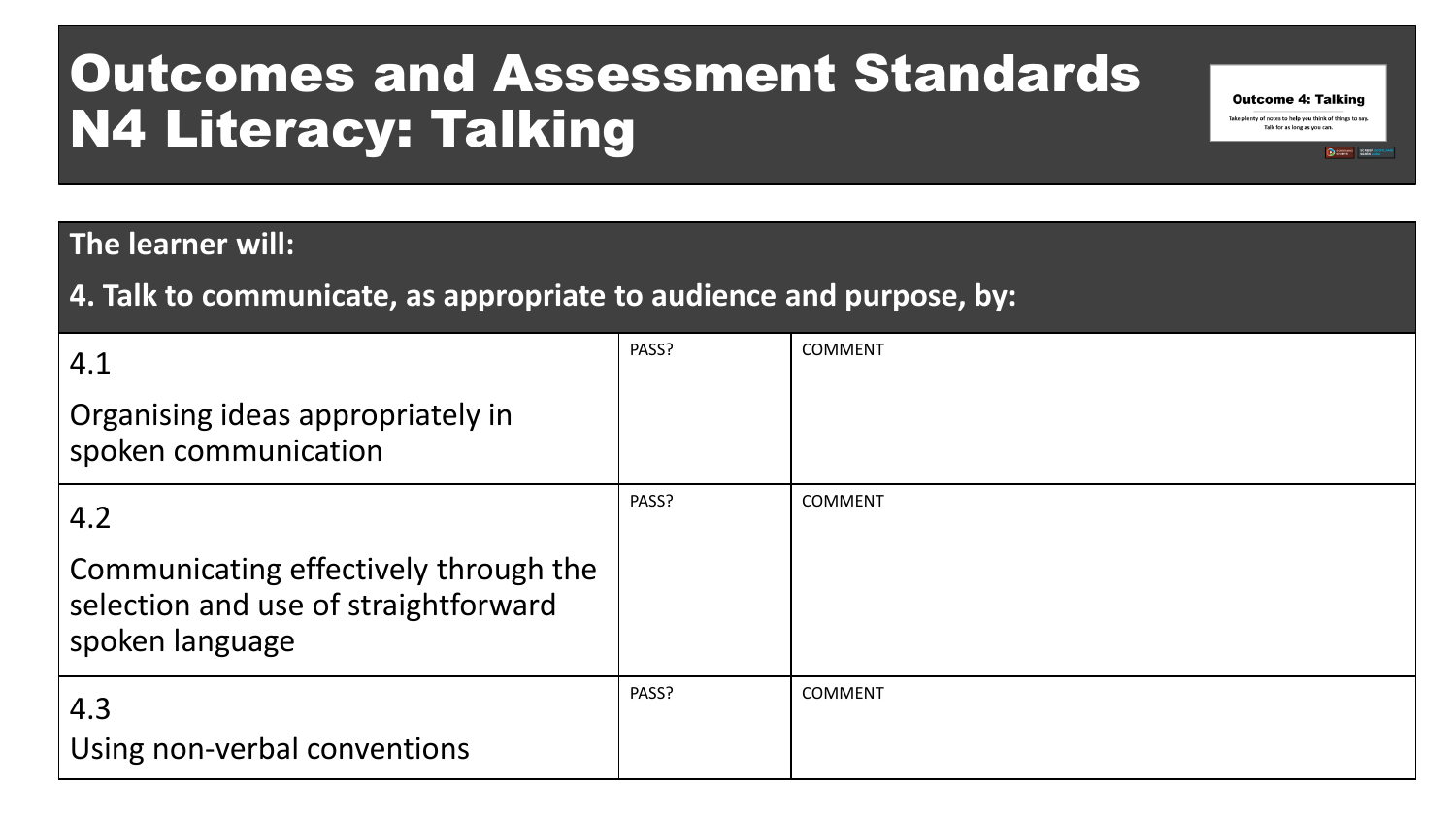### Outcomes and Assessment Standards N4 Literacy: Talking

#### **The learner will:**

**4. Talk to communicate, as appropriate to audience and purpose, by:**

| 4.1                                                                                              | PASS? | <b>COMMENT</b> |
|--------------------------------------------------------------------------------------------------|-------|----------------|
| Organising ideas appropriately in<br>spoken communication                                        |       |                |
| 4.2                                                                                              | PASS? | <b>COMMENT</b> |
| Communicating effectively through the<br>selection and use of straightforward<br>spoken language |       |                |
| 4.3<br>Using non-verbal conventions                                                              | PASS? | <b>COMMENT</b> |

**Outcome 4: Talking** Take plenty of notes to help you think of things to say. Talk for as long as you can

SCREENING SCREENING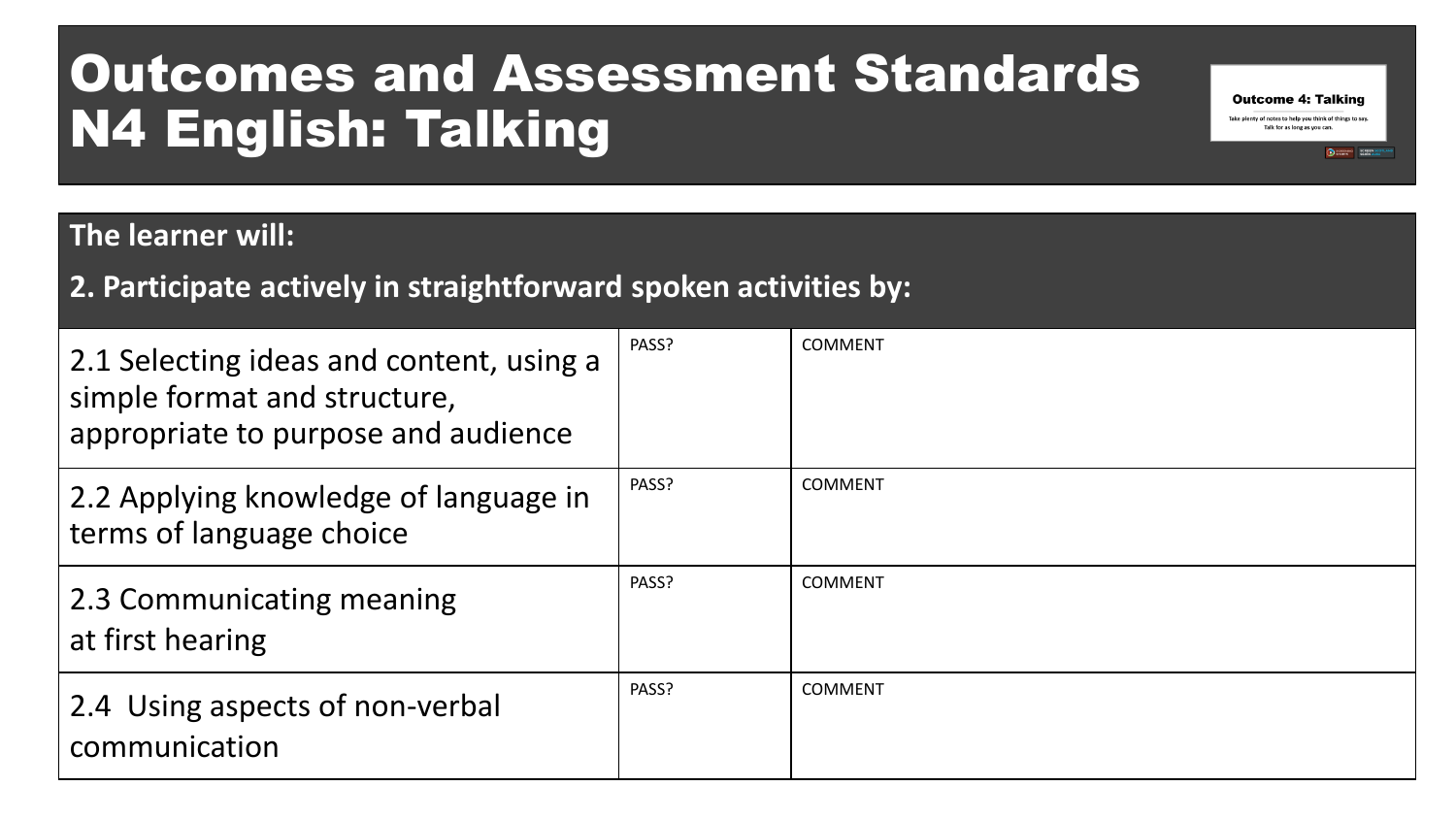### Outcomes and Assessment Standards N4 English: Talking

#### **The learner will:**

#### **2. Participate actively in straightforward spoken activities by:**

| 2.1 Selecting ideas and content, using a<br>simple format and structure,<br>appropriate to purpose and audience | PASS? | <b>COMMENT</b> |
|-----------------------------------------------------------------------------------------------------------------|-------|----------------|
| 2.2 Applying knowledge of language in<br>terms of language choice                                               | PASS? | <b>COMMENT</b> |
| 2.3 Communicating meaning<br>at first hearing                                                                   | PASS? | <b>COMMENT</b> |
| 2.4 Using aspects of non-verbal<br>communication                                                                | PASS? | <b>COMMENT</b> |

**Outcome 4: Talking** Take plenty of notes to help you think of things to say. Talk for as long as you can.

SCREEN SCOTL